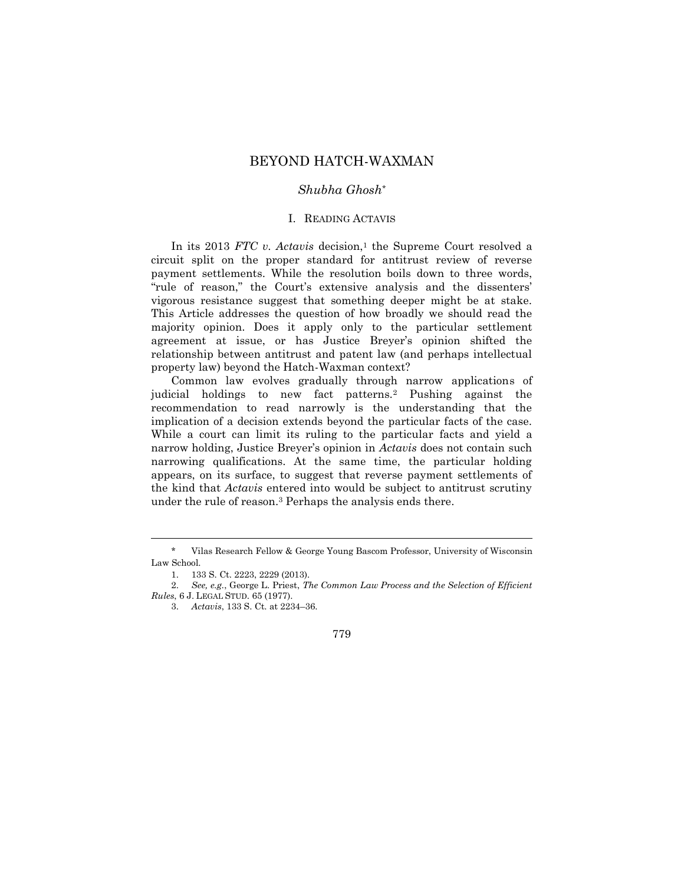# BEYOND HATCH-WAXMAN

# *Shubha Ghosh\**

#### I. READING ACTAVIS

In its 2013 *FTC v. Actavis* decision,<sup>1</sup> the Supreme Court resolved a circuit split on the proper standard for antitrust review of reverse payment settlements. While the resolution boils down to three words, "rule of reason," the Court's extensive analysis and the dissenters' vigorous resistance suggest that something deeper might be at stake. This Article addresses the question of how broadly we should read the majority opinion. Does it apply only to the particular settlement agreement at issue, or has Justice Breyer's opinion shifted the relationship between antitrust and patent law (and perhaps intellectual property law) beyond the Hatch-Waxman context?

Common law evolves gradually through narrow applications of judicial holdings to new fact patterns.<sup>2</sup> Pushing against the recommendation to read narrowly is the understanding that the implication of a decision extends beyond the particular facts of the case. While a court can limit its ruling to the particular facts and yield a narrow holding, Justice Breyer's opinion in *Actavis* does not contain such narrowing qualifications. At the same time, the particular holding appears, on its surface, to suggest that reverse payment settlements of the kind that *Actavis* entered into would be subject to antitrust scrutiny under the rule of reason.<sup>3</sup> Perhaps the analysis ends there.

 $\overline{a}$ 

Vilas Research Fellow & George Young Bascom Professor, University of Wisconsin Law School.

<sup>1.</sup> 133 S. Ct. 2223, 2229 (2013).

<sup>2.</sup> *See, e.g.*, George L. Priest, *The Common Law Process and the Selection of Efficient Rules*, 6 J. LEGAL STUD. 65 (1977).

<sup>3.</sup> *Actavis*, 133 S. Ct. at 2234–36.

<sup>779</sup>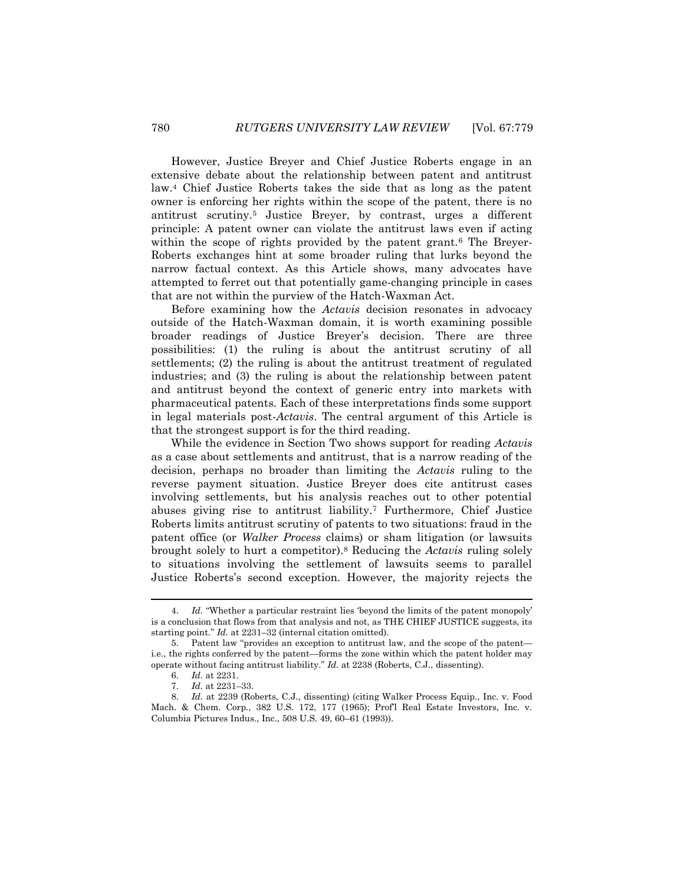However, Justice Breyer and Chief Justice Roberts engage in an extensive debate about the relationship between patent and antitrust law.<sup>4</sup> Chief Justice Roberts takes the side that as long as the patent owner is enforcing her rights within the scope of the patent, there is no antitrust scrutiny.<sup>5</sup> Justice Breyer, by contrast, urges a different principle: A patent owner can violate the antitrust laws even if acting within the scope of rights provided by the patent grant.<sup>6</sup> The Breyer-Roberts exchanges hint at some broader ruling that lurks beyond the narrow factual context. As this Article shows, many advocates have attempted to ferret out that potentially game-changing principle in cases that are not within the purview of the Hatch-Waxman Act.

Before examining how the *Actavis* decision resonates in advocacy outside of the Hatch-Waxman domain, it is worth examining possible broader readings of Justice Breyer's decision. There are three possibilities: (1) the ruling is about the antitrust scrutiny of all settlements; (2) the ruling is about the antitrust treatment of regulated industries; and (3) the ruling is about the relationship between patent and antitrust beyond the context of generic entry into markets with pharmaceutical patents. Each of these interpretations finds some support in legal materials post-*Actavis*. The central argument of this Article is that the strongest support is for the third reading.

While the evidence in Section Two shows support for reading *Actavis* as a case about settlements and antitrust, that is a narrow reading of the decision, perhaps no broader than limiting the *Actavis* ruling to the reverse payment situation. Justice Breyer does cite antitrust cases involving settlements, but his analysis reaches out to other potential abuses giving rise to antitrust liability.<sup>7</sup> Furthermore, Chief Justice Roberts limits antitrust scrutiny of patents to two situations: fraud in the patent office (or *Walker Process* claims) or sham litigation (or lawsuits brought solely to hurt a competitor).<sup>8</sup> Reducing the *Actavis* ruling solely to situations involving the settlement of lawsuits seems to parallel Justice Roberts's second exception. However, the majority rejects the

<sup>4.</sup> *Id.* "Whether a particular restraint lies 'beyond the limits of the patent monopoly' is a conclusion that flows from that analysis and not, as THE CHIEF JUSTICE suggests, its starting point." *Id.* at 2231–32 (internal citation omitted).

<sup>5.</sup> Patent law "provides an exception to antitrust law, and the scope of the patent i.e., the rights conferred by the patent—forms the zone within which the patent holder may operate without facing antitrust liability." *Id.* at 2238 (Roberts, C.J., dissenting).

<sup>6.</sup> *Id.* at 2231.

<sup>7.</sup> *Id.* at 2231–33.

<sup>8.</sup> *Id.* at 2239 (Roberts, C.J., dissenting) (citing Walker Process Equip., Inc. v. Food Mach. & Chem. Corp., 382 U.S. 172, 177 (1965); Prof'l Real Estate Investors, Inc. v. Columbia Pictures Indus., Inc., 508 U.S. 49, 60–61 (1993)).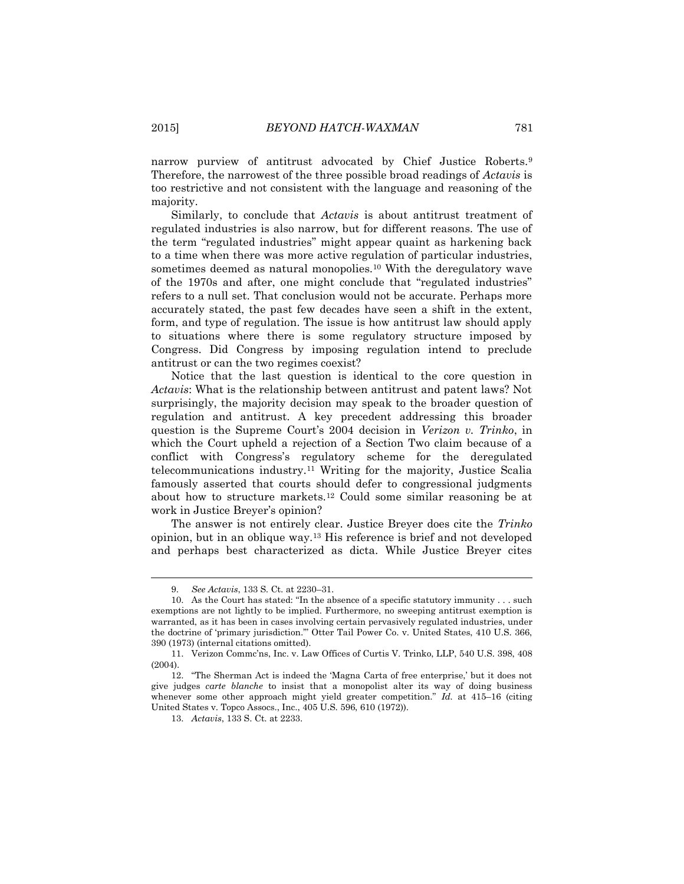narrow purview of antitrust advocated by Chief Justice Roberts.<sup>9</sup> Therefore, the narrowest of the three possible broad readings of *Actavis* is too restrictive and not consistent with the language and reasoning of the majority.

Similarly, to conclude that *Actavis* is about antitrust treatment of regulated industries is also narrow, but for different reasons. The use of the term "regulated industries" might appear quaint as harkening back to a time when there was more active regulation of particular industries, sometimes deemed as natural monopolies.<sup>10</sup> With the deregulatory wave of the 1970s and after, one might conclude that "regulated industries" refers to a null set. That conclusion would not be accurate. Perhaps more accurately stated, the past few decades have seen a shift in the extent, form, and type of regulation. The issue is how antitrust law should apply to situations where there is some regulatory structure imposed by Congress. Did Congress by imposing regulation intend to preclude antitrust or can the two regimes coexist?

Notice that the last question is identical to the core question in *Actavis*: What is the relationship between antitrust and patent laws? Not surprisingly, the majority decision may speak to the broader question of regulation and antitrust. A key precedent addressing this broader question is the Supreme Court's 2004 decision in *Verizon v. Trinko*, in which the Court upheld a rejection of a Section Two claim because of a conflict with Congress's regulatory scheme for the deregulated telecommunications industry.<sup>11</sup> Writing for the majority, Justice Scalia famously asserted that courts should defer to congressional judgments about how to structure markets.<sup>12</sup> Could some similar reasoning be at work in Justice Breyer's opinion?

The answer is not entirely clear. Justice Breyer does cite the *Trinko* opinion, but in an oblique way.<sup>13</sup> His reference is brief and not developed and perhaps best characterized as dicta. While Justice Breyer cites

<sup>9.</sup> *See Actavis*, 133 S. Ct. at 2230–31.

<sup>10.</sup> As the Court has stated: "In the absence of a specific statutory immunity . . . such exemptions are not lightly to be implied. Furthermore, no sweeping antitrust exemption is warranted, as it has been in cases involving certain pervasively regulated industries, under the doctrine of 'primary jurisdiction.'" Otter Tail Power Co. v. United States, 410 U.S. 366, 390 (1973) (internal citations omitted).

<sup>11.</sup> Verizon Commc'ns, Inc. v. Law Offices of Curtis V. Trinko, LLP, 540 U.S. 398, 408 (2004).

<sup>12.</sup> "The Sherman Act is indeed the 'Magna Carta of free enterprise,' but it does not give judges *carte blanche* to insist that a monopolist alter its way of doing business whenever some other approach might yield greater competition." *Id.* at 415–16 (citing United States v. Topco Assocs., Inc., 405 U.S. 596, 610 (1972)).

<sup>13.</sup> *Actavis*, 133 S. Ct. at 2233.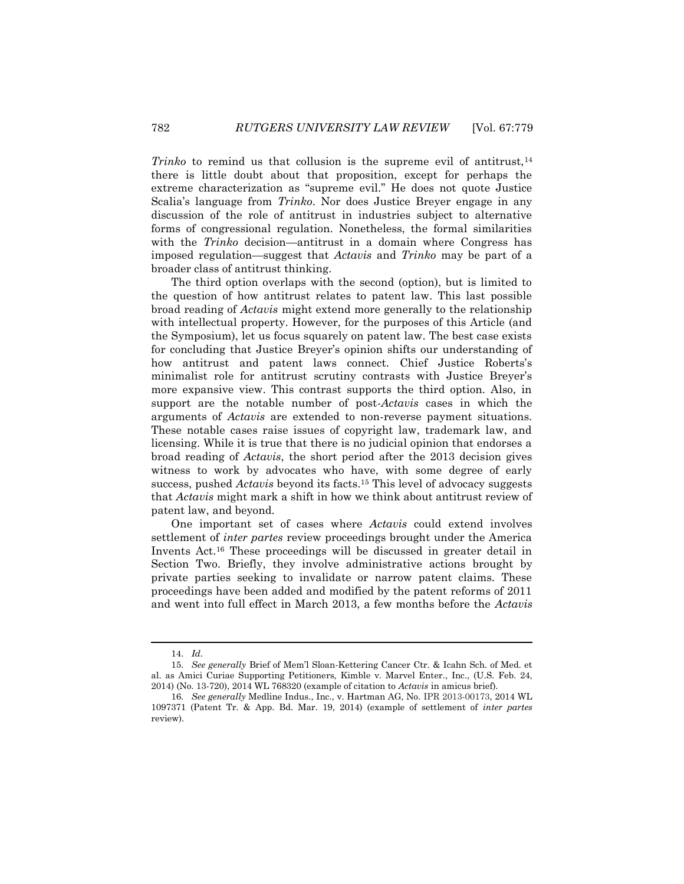*Trinko* to remind us that collusion is the supreme evil of antitrust,<sup>14</sup> there is little doubt about that proposition, except for perhaps the extreme characterization as "supreme evil." He does not quote Justice Scalia's language from *Trinko*. Nor does Justice Breyer engage in any discussion of the role of antitrust in industries subject to alternative forms of congressional regulation. Nonetheless, the formal similarities with the *Trinko* decision—antitrust in a domain where Congress has imposed regulation—suggest that *Actavis* and *Trinko* may be part of a broader class of antitrust thinking.

The third option overlaps with the second (option), but is limited to the question of how antitrust relates to patent law. This last possible broad reading of *Actavis* might extend more generally to the relationship with intellectual property. However, for the purposes of this Article (and the Symposium), let us focus squarely on patent law. The best case exists for concluding that Justice Breyer's opinion shifts our understanding of how antitrust and patent laws connect. Chief Justice Roberts's minimalist role for antitrust scrutiny contrasts with Justice Breyer's more expansive view. This contrast supports the third option. Also, in support are the notable number of post-*Actavis* cases in which the arguments of *Actavis* are extended to non-reverse payment situations. These notable cases raise issues of copyright law, trademark law, and licensing. While it is true that there is no judicial opinion that endorses a broad reading of *Actavis*, the short period after the 2013 decision gives witness to work by advocates who have, with some degree of early success, pushed *Actavis* beyond its facts.<sup>15</sup> This level of advocacy suggests that *Actavis* might mark a shift in how we think about antitrust review of patent law, and beyond.

One important set of cases where *Actavis* could extend involves settlement of *inter partes* review proceedings brought under the America Invents Act.<sup>16</sup> These proceedings will be discussed in greater detail in Section Two. Briefly, they involve administrative actions brought by private parties seeking to invalidate or narrow patent claims. These proceedings have been added and modified by the patent reforms of 2011 and went into full effect in March 2013, a few months before the *Actavis*

<sup>14.</sup> *Id.*

<sup>15.</sup> *See generally* Brief of Mem'l Sloan-Kettering Cancer Ctr. & Icahn Sch. of Med. et al. as Amici Curiae Supporting Petitioners, Kimble v. Marvel Enter., Inc., (U.S. Feb. 24, 2014) (No. 13-720), 2014 WL 768320 (example of citation to *Actavis* in amicus brief).

<sup>16</sup>*. See generally* Medline Indus., Inc., v. Hartman AG, No. IPR 2013-00173, 2014 WL 1097371 (Patent Tr. & App. Bd. Mar. 19, 2014) (example of settlement of *inter partes* review).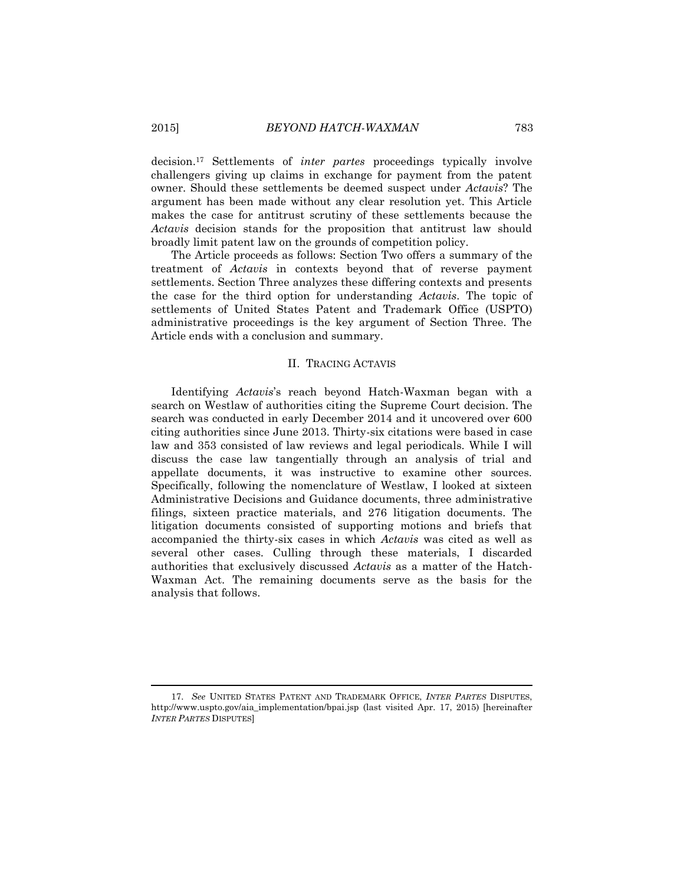decision.<sup>17</sup> Settlements of *inter partes* proceedings typically involve challengers giving up claims in exchange for payment from the patent owner. Should these settlements be deemed suspect under *Actavis*? The argument has been made without any clear resolution yet. This Article makes the case for antitrust scrutiny of these settlements because the *Actavis* decision stands for the proposition that antitrust law should broadly limit patent law on the grounds of competition policy.

The Article proceeds as follows: Section Two offers a summary of the treatment of *Actavis* in contexts beyond that of reverse payment settlements. Section Three analyzes these differing contexts and presents the case for the third option for understanding *Actavis*. The topic of settlements of United States Patent and Trademark Office (USPTO) administrative proceedings is the key argument of Section Three. The Article ends with a conclusion and summary.

## II. TRACING ACTAVIS

Identifying *Actavis*'s reach beyond Hatch-Waxman began with a search on Westlaw of authorities citing the Supreme Court decision. The search was conducted in early December 2014 and it uncovered over 600 citing authorities since June 2013. Thirty-six citations were based in case law and 353 consisted of law reviews and legal periodicals. While I will discuss the case law tangentially through an analysis of trial and appellate documents, it was instructive to examine other sources. Specifically, following the nomenclature of Westlaw, I looked at sixteen Administrative Decisions and Guidance documents, three administrative filings, sixteen practice materials, and 276 litigation documents. The litigation documents consisted of supporting motions and briefs that accompanied the thirty-six cases in which *Actavis* was cited as well as several other cases. Culling through these materials, I discarded authorities that exclusively discussed *Actavis* as a matter of the Hatch-Waxman Act. The remaining documents serve as the basis for the analysis that follows.

<sup>17.</sup> *See* UNITED STATES PATENT AND TRADEMARK OFFICE, *INTER PARTES* DISPUTES, http://www.uspto.gov/aia\_implementation/bpai.jsp (last visited Apr. 17, 2015) [hereinafter *INTER PARTES* DISPUTES]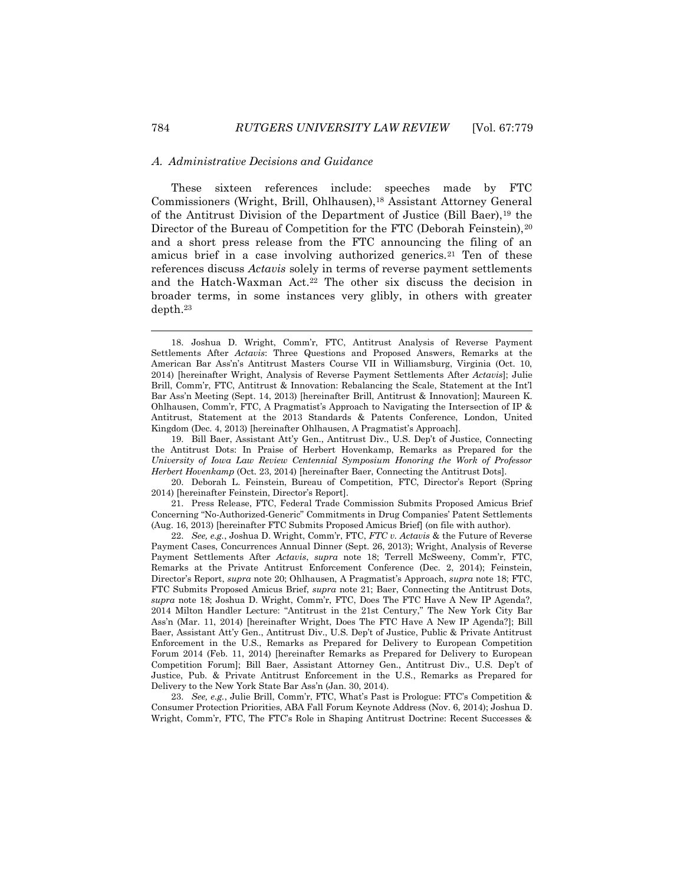#### A. *Administrative Decisions and Guidance*

These sixteen references include: speeches made by FTC Commissioners (Wright, Brill, Ohlhausen),<sup>18</sup> Assistant Attorney General of the Antitrust Division of the Department of Justice (Bill Baer),<sup>19</sup> the Director of the Bureau of Competition for the FTC (Deborah Feinstein), 20 and a short press release from the FTC announcing the filing of an amicus brief in a case involving authorized generics.<sup>21</sup> Ten of these references discuss *Actavis* solely in terms of reverse payment settlements and the Hatch-Waxman Act.<sup>22</sup> The other six discuss the decision in broader terms, in some instances very glibly, in others with greater depth.<sup>23</sup>

21. Press Release, FTC, Federal Trade Commission Submits Proposed Amicus Brief Concerning "No-Authorized-Generic" Commitments in Drug Companies' Patent Settlements (Aug. 16, 2013) [hereinafter FTC Submits Proposed Amicus Brief] (on file with author).

22. *See, e.g.*, Joshua D. Wright, Comm'r, FTC, *FTC v. Actavis* & the Future of Reverse Payment Cases, Concurrences Annual Dinner (Sept. 26, 2013); Wright, Analysis of Reverse Payment Settlements After *Actavis*, *supra* note 18; Terrell McSweeny, Comm'r, FTC, Remarks at the Private Antitrust Enforcement Conference (Dec. 2, 2014); Feinstein, Director's Report, *supra* note 20; Ohlhausen, A Pragmatist's Approach, *supra* note 18; FTC, FTC Submits Proposed Amicus Brief, *supra* note 21; Baer, Connecting the Antitrust Dots, *supra* note 18; Joshua D. Wright, Comm'r, FTC, Does The FTC Have A New IP Agenda?, 2014 Milton Handler Lecture: "Antitrust in the 21st Century," The New York City Bar Ass'n (Mar. 11, 2014) [hereinafter Wright, Does The FTC Have A New IP Agenda?]; Bill Baer, Assistant Att'y Gen., Antitrust Div., U.S. Dep't of Justice, Public & Private Antitrust Enforcement in the U.S., Remarks as Prepared for Delivery to European Competition Forum 2014 (Feb. 11, 2014) [hereinafter Remarks as Prepared for Delivery to European Competition Forum]; Bill Baer, Assistant Attorney Gen., Antitrust Div., U.S. Dep't of Justice, Pub. & Private Antitrust Enforcement in the U.S., Remarks as Prepared for Delivery to the New York State Bar Ass'n (Jan. 30, 2014).

23. *See, e.g.*, Julie Brill, Comm'r, FTC, What's Past is Prologue: FTC's Competition & Consumer Protection Priorities, ABA Fall Forum Keynote Address (Nov. 6, 2014); Joshua D. Wright, Comm'r, FTC, The FTC's Role in Shaping Antitrust Doctrine: Recent Successes &

<sup>18.</sup> Joshua D. Wright, Comm'r, FTC, Antitrust Analysis of Reverse Payment Settlements After *Actavis*: Three Questions and Proposed Answers, Remarks at the American Bar Ass'n's Antitrust Masters Course VII in Williamsburg, Virginia (Oct. 10, 2014) [hereinafter Wright, Analysis of Reverse Payment Settlements After *Actavis*]; Julie Brill, Comm'r, FTC, Antitrust & Innovation: Rebalancing the Scale, Statement at the Int'l Bar Ass'n Meeting (Sept. 14, 2013) [hereinafter Brill, Antitrust & Innovation]; Maureen K. Ohlhausen, Comm'r, FTC, A Pragmatist's Approach to Navigating the Intersection of IP & Antitrust, Statement at the 2013 Standards & Patents Conference, London, United Kingdom (Dec. 4, 2013) [hereinafter Ohlhausen, A Pragmatist's Approach].

<sup>19.</sup> Bill Baer, Assistant Att'y Gen., Antitrust Div., U.S. Dep't of Justice, Connecting the Antitrust Dots: In Praise of Herbert Hovenkamp, Remarks as Prepared for the *University of Iowa Law Review Centennial Symposium Honoring the Work of Professor Herbert Hovenkamp* (Oct. 23, 2014) [hereinafter Baer, Connecting the Antitrust Dots].

<sup>20.</sup> Deborah L. Feinstein, Bureau of Competition, FTC, Director's Report (Spring 2014) [hereinafter Feinstein, Director's Report].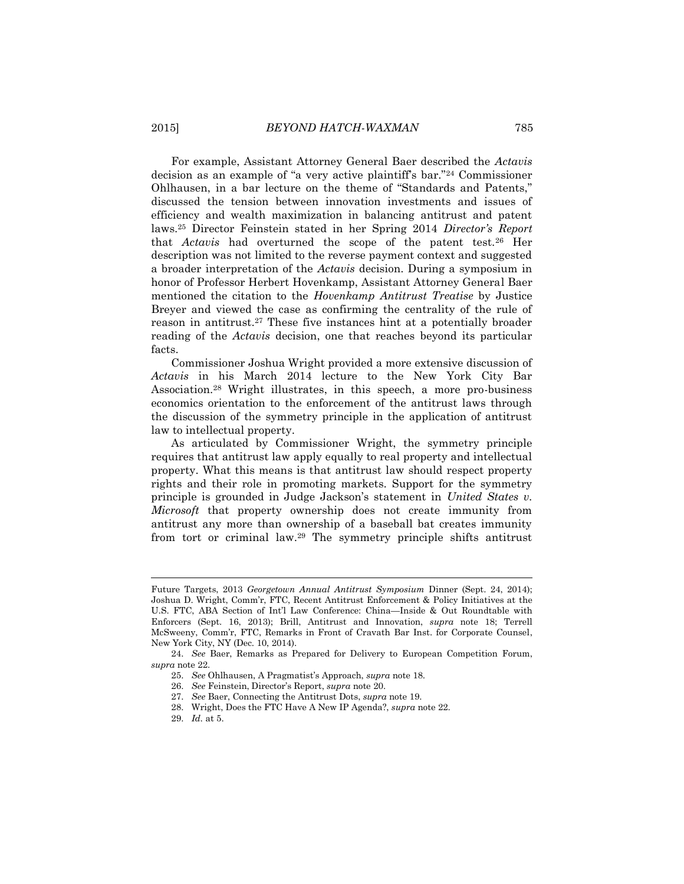For example, Assistant Attorney General Baer described the *Actavis* decision as an example of "a very active plaintiff's bar."<sup>24</sup> Commissioner Ohlhausen, in a bar lecture on the theme of "Standards and Patents," discussed the tension between innovation investments and issues of efficiency and wealth maximization in balancing antitrust and patent laws.<sup>25</sup> Director Feinstein stated in her Spring 2014 *Director's Report* that *Actavis* had overturned the scope of the patent test.<sup>26</sup> Her description was not limited to the reverse payment context and suggested a broader interpretation of the *Actavis* decision. During a symposium in honor of Professor Herbert Hovenkamp, Assistant Attorney General Baer mentioned the citation to the *Hovenkamp Antitrust Treatise* by Justice Breyer and viewed the case as confirming the centrality of the rule of reason in antitrust.<sup>27</sup> These five instances hint at a potentially broader reading of the *Actavis* decision, one that reaches beyond its particular facts.

Commissioner Joshua Wright provided a more extensive discussion of *Actavis* in his March 2014 lecture to the New York City Bar Association.<sup>28</sup> Wright illustrates, in this speech, a more pro-business economics orientation to the enforcement of the antitrust laws through the discussion of the symmetry principle in the application of antitrust law to intellectual property.

As articulated by Commissioner Wright, the symmetry principle requires that antitrust law apply equally to real property and intellectual property. What this means is that antitrust law should respect property rights and their role in promoting markets. Support for the symmetry principle is grounded in Judge Jackson's statement in *United States v. Microsoft* that property ownership does not create immunity from antitrust any more than ownership of a baseball bat creates immunity from tort or criminal law.<sup>29</sup> The symmetry principle shifts antitrust

Future Targets, 2013 *Georgetown Annual Antitrust Symposium* Dinner (Sept. 24, 2014); Joshua D. Wright, Comm'r, FTC, Recent Antitrust Enforcement & Policy Initiatives at the U.S. FTC, ABA Section of Int'l Law Conference: China—Inside & Out Roundtable with Enforcers (Sept. 16, 2013); Brill, Antitrust and Innovation, *supra* note 18; Terrell McSweeny, Comm'r, FTC, Remarks in Front of Cravath Bar Inst. for Corporate Counsel, New York City, NY (Dec. 10, 2014).

<sup>24.</sup> *See* Baer, Remarks as Prepared for Delivery to European Competition Forum, *supra* note 22.

<sup>25.</sup> *See* Ohlhausen, A Pragmatist's Approach, *supra* note 18.

<sup>26.</sup> *See* Feinstein, Director's Report, *supra* note 20.

<sup>27.</sup> *See* Baer, Connecting the Antitrust Dots, *supra* note 19.

<sup>28.</sup> Wright, Does the FTC Have A New IP Agenda?, *supra* note 22.

<sup>29.</sup> *Id.* at 5.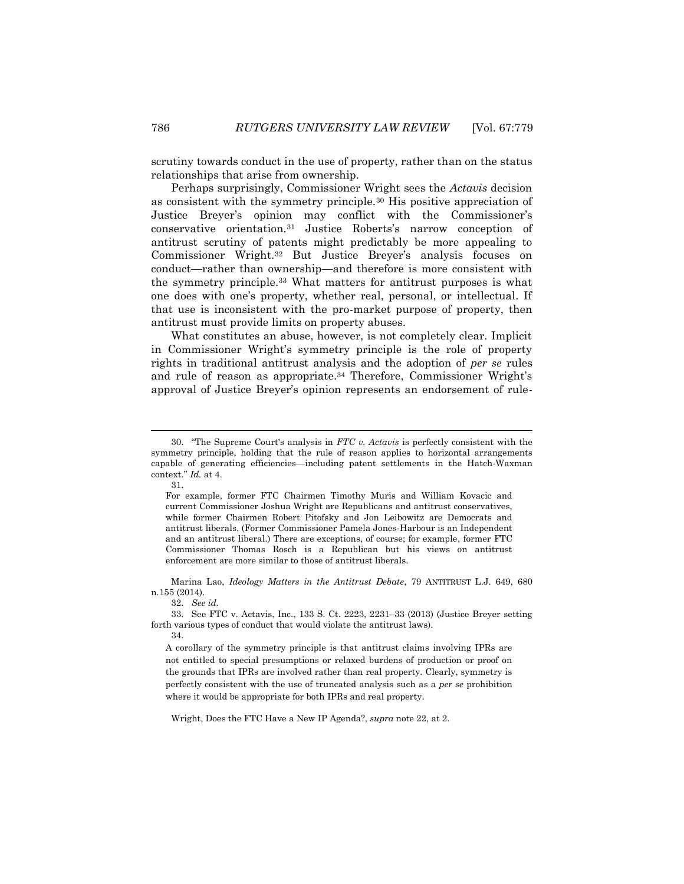scrutiny towards conduct in the use of property, rather than on the status relationships that arise from ownership.

Perhaps surprisingly, Commissioner Wright sees the *Actavis* decision as consistent with the symmetry principle.<sup>30</sup> His positive appreciation of Justice Breyer's opinion may conflict with the Commissioner's conservative orientation.<sup>31</sup> Justice Roberts's narrow conception of antitrust scrutiny of patents might predictably be more appealing to Commissioner Wright.<sup>32</sup> But Justice Breyer's analysis focuses on conduct—rather than ownership—and therefore is more consistent with the symmetry principle.<sup>33</sup> What matters for antitrust purposes is what one does with one's property, whether real, personal, or intellectual. If that use is inconsistent with the pro-market purpose of property, then antitrust must provide limits on property abuses.

What constitutes an abuse, however, is not completely clear. Implicit in Commissioner Wright's symmetry principle is the role of property rights in traditional antitrust analysis and the adoption of *per se* rules and rule of reason as appropriate.<sup>34</sup> Therefore, Commissioner Wright's approval of Justice Breyer's opinion represents an endorsement of rule-

l

Marina Lao, *Ideology Matters in the Antitrust Debate*, 79 ANTITRUST L.J. 649, 680 n.155 (2014).

32. *See id.*

34.

Wright, Does the FTC Have a New IP Agenda?, *supra* note 22, at 2.

<sup>30.</sup> "The Supreme Court's analysis in *FTC v. Actavis* is perfectly consistent with the symmetry principle, holding that the rule of reason applies to horizontal arrangements capable of generating efficiencies—including patent settlements in the Hatch-Waxman context." *Id.* at 4.

<sup>31.</sup>

For example, former FTC Chairmen Timothy Muris and William Kovacic and current Commissioner Joshua Wright are Republicans and antitrust conservatives, while former Chairmen Robert Pitofsky and Jon Leibowitz are Democrats and antitrust liberals. (Former Commissioner Pamela Jones-Harbour is an Independent and an antitrust liberal.) There are exceptions, of course; for example, former FTC Commissioner Thomas Rosch is a Republican but his views on antitrust enforcement are more similar to those of antitrust liberals.

<sup>33.</sup> See FTC v. Actavis, Inc., 133 S. Ct. 2223, 2231–33 (2013) (Justice Breyer setting forth various types of conduct that would violate the antitrust laws).

A corollary of the symmetry principle is that antitrust claims involving IPRs are not entitled to special presumptions or relaxed burdens of production or proof on the grounds that IPRs are involved rather than real property. Clearly, symmetry is perfectly consistent with the use of truncated analysis such as a *per se* prohibition where it would be appropriate for both IPRs and real property.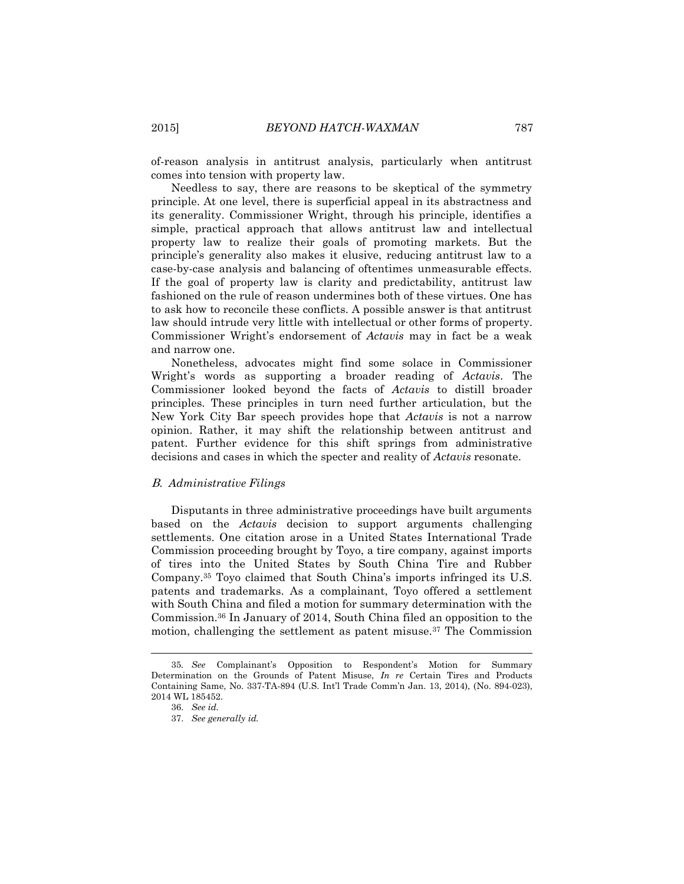of-reason analysis in antitrust analysis, particularly when antitrust comes into tension with property law.

Needless to say, there are reasons to be skeptical of the symmetry principle. At one level, there is superficial appeal in its abstractness and its generality. Commissioner Wright, through his principle, identifies a simple, practical approach that allows antitrust law and intellectual property law to realize their goals of promoting markets. But the principle's generality also makes it elusive, reducing antitrust law to a case-by-case analysis and balancing of oftentimes unmeasurable effects. If the goal of property law is clarity and predictability, antitrust law fashioned on the rule of reason undermines both of these virtues. One has to ask how to reconcile these conflicts. A possible answer is that antitrust law should intrude very little with intellectual or other forms of property. Commissioner Wright's endorsement of *Actavis* may in fact be a weak and narrow one.

Nonetheless, advocates might find some solace in Commissioner Wright's words as supporting a broader reading of *Actavis*. The Commissioner looked beyond the facts of *Actavis* to distill broader principles. These principles in turn need further articulation, but the New York City Bar speech provides hope that *Actavis* is not a narrow opinion. Rather, it may shift the relationship between antitrust and patent. Further evidence for this shift springs from administrative decisions and cases in which the specter and reality of *Actavis* resonate.

#### B. *Administrative Filings*

Disputants in three administrative proceedings have built arguments based on the *Actavis* decision to support arguments challenging settlements. One citation arose in a United States International Trade Commission proceeding brought by Toyo, a tire company, against imports of tires into the United States by South China Tire and Rubber Company.<sup>35</sup> Toyo claimed that South China's imports infringed its U.S. patents and trademarks. As a complainant, Toyo offered a settlement with South China and filed a motion for summary determination with the Commission.<sup>36</sup> In January of 2014, South China filed an opposition to the motion, challenging the settlement as patent misuse.<sup>37</sup> The Commission

 $\overline{a}$ 

<sup>35</sup>*. See* Complainant's Opposition to Respondent's Motion for Summary Determination on the Grounds of Patent Misuse, *In re* Certain Tires and Products Containing Same, No. 337-TA-894 (U.S. Int'l Trade Comm'n Jan. 13, 2014), (No. 894-023), 2014 WL 185452.

<sup>36.</sup> *See id.*

<sup>37.</sup> *See generally id.*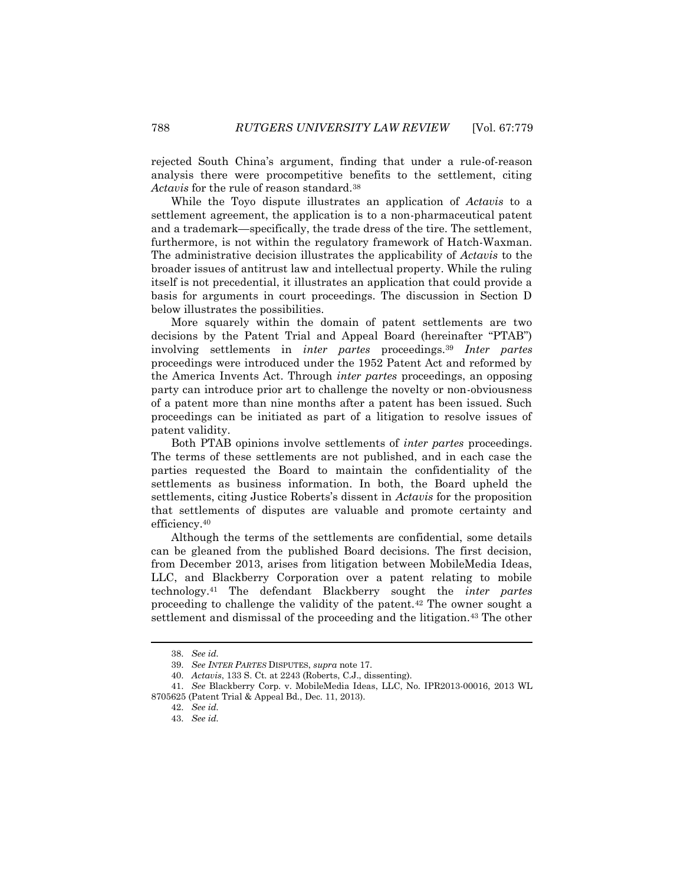rejected South China's argument, finding that under a rule-of-reason analysis there were procompetitive benefits to the settlement, citing Actavis for the rule of reason standard.<sup>38</sup>

While the Toyo dispute illustrates an application of *Actavis* to a settlement agreement, the application is to a non-pharmaceutical patent and a trademark—specifically, the trade dress of the tire. The settlement, furthermore, is not within the regulatory framework of Hatch-Waxman. The administrative decision illustrates the applicability of *Actavis* to the broader issues of antitrust law and intellectual property. While the ruling itself is not precedential, it illustrates an application that could provide a basis for arguments in court proceedings. The discussion in Section D below illustrates the possibilities.

More squarely within the domain of patent settlements are two decisions by the Patent Trial and Appeal Board (hereinafter "PTAB") involving settlements in *inter partes* proceedings.<sup>39</sup> *Inter partes* proceedings were introduced under the 1952 Patent Act and reformed by the America Invents Act. Through *inter partes* proceedings, an opposing party can introduce prior art to challenge the novelty or non-obviousness of a patent more than nine months after a patent has been issued. Such proceedings can be initiated as part of a litigation to resolve issues of patent validity.

Both PTAB opinions involve settlements of *inter partes* proceedings. The terms of these settlements are not published, and in each case the parties requested the Board to maintain the confidentiality of the settlements as business information. In both, the Board upheld the settlements, citing Justice Roberts's dissent in *Actavis* for the proposition that settlements of disputes are valuable and promote certainty and efficiency.<sup>40</sup>

Although the terms of the settlements are confidential, some details can be gleaned from the published Board decisions. The first decision, from December 2013, arises from litigation between MobileMedia Ideas, LLC, and Blackberry Corporation over a patent relating to mobile technology.<sup>41</sup> The defendant Blackberry sought the *inter partes* proceeding to challenge the validity of the patent.<sup>42</sup> The owner sought a settlement and dismissal of the proceeding and the litigation.<sup>43</sup> The other

<sup>38.</sup> *See id.*

<sup>39.</sup> *See INTER PARTES* DISPUTES, *supra* note 17.

<sup>40.</sup> *Actavis*, 133 S. Ct. at 2243 (Roberts, C.J., dissenting).

<sup>41.</sup> *See* Blackberry Corp. v. MobileMedia Ideas, LLC, No. IPR2013-00016, 2013 WL 8705625 (Patent Trial & Appeal Bd., Dec. 11, 2013).

<sup>42.</sup> *See id.*

<sup>43.</sup> *See id.*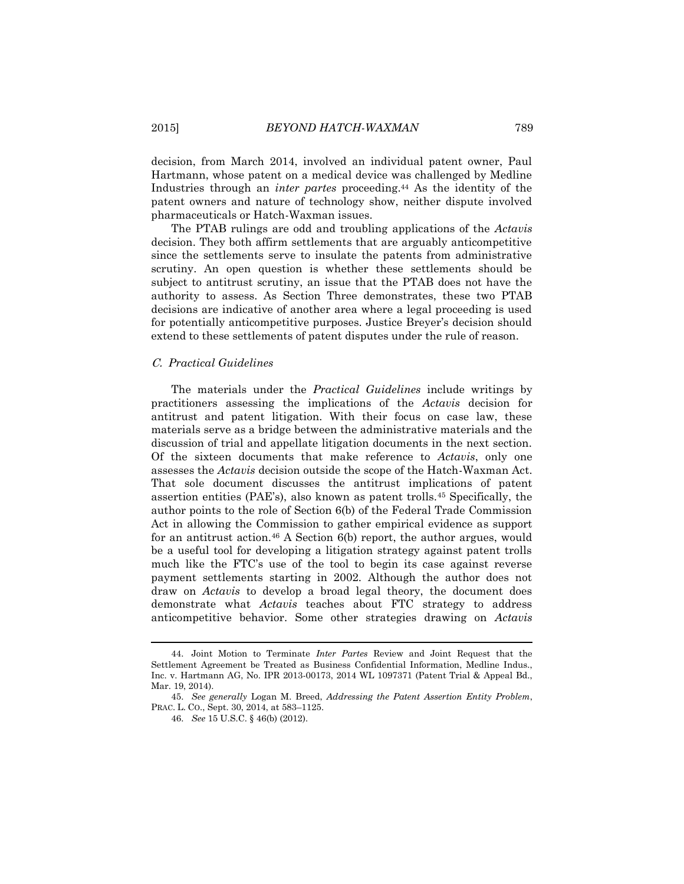decision, from March 2014, involved an individual patent owner, Paul Hartmann, whose patent on a medical device was challenged by Medline Industries through an *inter partes* proceeding.<sup>44</sup> As the identity of the patent owners and nature of technology show, neither dispute involved pharmaceuticals or Hatch-Waxman issues.

The PTAB rulings are odd and troubling applications of the *Actavis* decision. They both affirm settlements that are arguably anticompetitive since the settlements serve to insulate the patents from administrative scrutiny. An open question is whether these settlements should be subject to antitrust scrutiny, an issue that the PTAB does not have the authority to assess. As Section Three demonstrates, these two PTAB decisions are indicative of another area where a legal proceeding is used for potentially anticompetitive purposes. Justice Breyer's decision should extend to these settlements of patent disputes under the rule of reason.

## C. *Practical Guidelines*

The materials under the *Practical Guidelines* include writings by practitioners assessing the implications of the *Actavis* decision for antitrust and patent litigation. With their focus on case law, these materials serve as a bridge between the administrative materials and the discussion of trial and appellate litigation documents in the next section. Of the sixteen documents that make reference to *Actavis*, only one assesses the *Actavis* decision outside the scope of the Hatch-Waxman Act. That sole document discusses the antitrust implications of patent assertion entities (PAE's), also known as patent trolls.<sup>45</sup> Specifically, the author points to the role of Section 6(b) of the Federal Trade Commission Act in allowing the Commission to gather empirical evidence as support for an antitrust action.<sup>46</sup> A Section 6(b) report, the author argues, would be a useful tool for developing a litigation strategy against patent trolls much like the FTC's use of the tool to begin its case against reverse payment settlements starting in 2002. Although the author does not draw on *Actavis* to develop a broad legal theory, the document does demonstrate what *Actavis* teaches about FTC strategy to address anticompetitive behavior. Some other strategies drawing on *Actavis*

<sup>44.</sup> Joint Motion to Terminate *Inter Partes* Review and Joint Request that the Settlement Agreement be Treated as Business Confidential Information, Medline Indus., Inc. v. Hartmann AG, No. IPR 2013-00173, 2014 WL 1097371 (Patent Trial & Appeal Bd., Mar. 19, 2014).

<sup>45.</sup> *See generally* Logan M. Breed, *Addressing the Patent Assertion Entity Problem*, PRAC. L. CO., Sept. 30, 2014, at 583–1125.

<sup>46.</sup> *See* 15 U.S.C. § 46(b) (2012).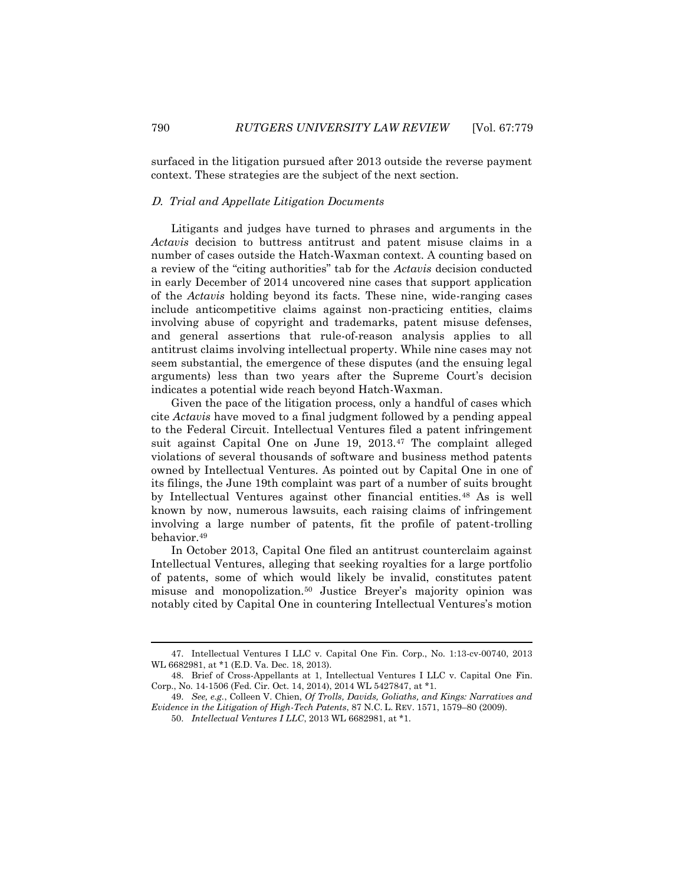surfaced in the litigation pursued after 2013 outside the reverse payment context. These strategies are the subject of the next section.

#### D. *Trial and Appellate Litigation Documents*

Litigants and judges have turned to phrases and arguments in the *Actavis* decision to buttress antitrust and patent misuse claims in a number of cases outside the Hatch-Waxman context. A counting based on a review of the "citing authorities" tab for the *Actavis* decision conducted in early December of 2014 uncovered nine cases that support application of the *Actavis* holding beyond its facts. These nine, wide-ranging cases include anticompetitive claims against non-practicing entities, claims involving abuse of copyright and trademarks, patent misuse defenses, and general assertions that rule-of-reason analysis applies to all antitrust claims involving intellectual property. While nine cases may not seem substantial, the emergence of these disputes (and the ensuing legal arguments) less than two years after the Supreme Court's decision indicates a potential wide reach beyond Hatch-Waxman.

Given the pace of the litigation process, only a handful of cases which cite *Actavis* have moved to a final judgment followed by a pending appeal to the Federal Circuit. Intellectual Ventures filed a patent infringement suit against Capital One on June 19, 2013.<sup>47</sup> The complaint alleged violations of several thousands of software and business method patents owned by Intellectual Ventures. As pointed out by Capital One in one of its filings, the June 19th complaint was part of a number of suits brought by Intellectual Ventures against other financial entities.<sup>48</sup> As is well known by now, numerous lawsuits, each raising claims of infringement involving a large number of patents, fit the profile of patent-trolling behavior.<sup>49</sup>

In October 2013, Capital One filed an antitrust counterclaim against Intellectual Ventures, alleging that seeking royalties for a large portfolio of patents, some of which would likely be invalid, constitutes patent misuse and monopolization.<sup>50</sup> Justice Breyer's majority opinion was notably cited by Capital One in countering Intellectual Ventures's motion

<sup>47.</sup> Intellectual Ventures I LLC v. Capital One Fin. Corp., No. 1:13-cv-00740, 2013 WL 6682981, at \*1 (E.D. Va. Dec. 18, 2013).

<sup>48.</sup> Brief of Cross-Appellants at 1, Intellectual Ventures I LLC v. Capital One Fin. Corp., No. 14-1506 (Fed. Cir. Oct. 14, 2014), 2014 WL 5427847, at \*1.

<sup>49.</sup> *See, e.g.*, Colleen V. Chien, *Of Trolls, Davids, Goliaths, and Kings: Narratives and Evidence in the Litigation of High-Tech Patents*, 87 N.C. L. REV. 1571, 1579–80 (2009).

<sup>50.</sup> *Intellectual Ventures I LLC*, 2013 WL 6682981, at \*1.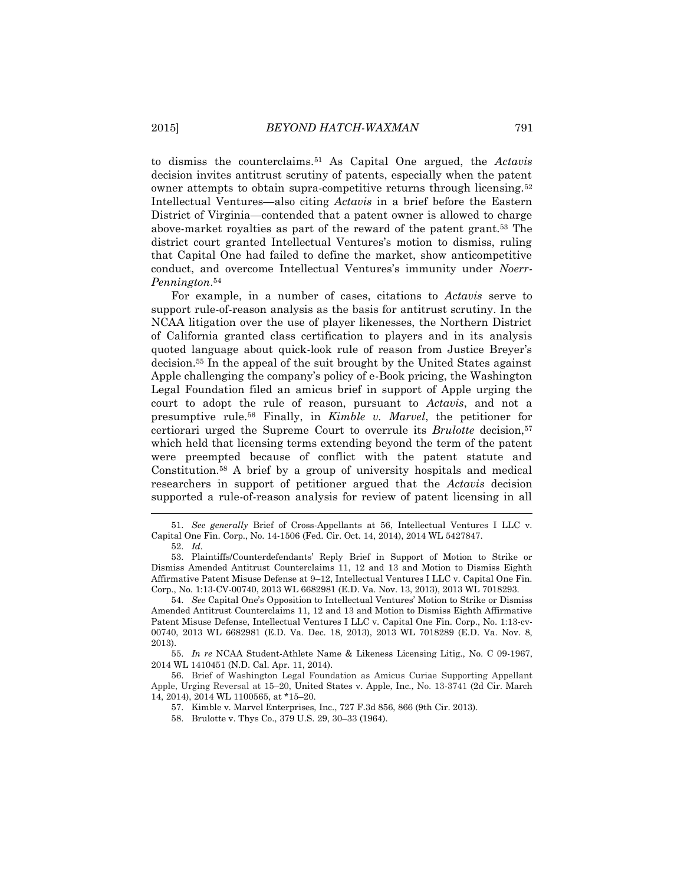to dismiss the counterclaims.<sup>51</sup> As Capital One argued, the *Actavis* decision invites antitrust scrutiny of patents, especially when the patent owner attempts to obtain supra-competitive returns through licensing.<sup>52</sup> Intellectual Ventures—also citing *Actavis* in a brief before the Eastern District of Virginia—contended that a patent owner is allowed to charge above-market royalties as part of the reward of the patent grant.<sup>53</sup> The district court granted Intellectual Ventures's motion to dismiss, ruling that Capital One had failed to define the market, show anticompetitive conduct, and overcome Intellectual Ventures's immunity under *Noerr-Pennington*. 54

For example, in a number of cases, citations to *Actavis* serve to support rule-of-reason analysis as the basis for antitrust scrutiny. In the NCAA litigation over the use of player likenesses, the Northern District of California granted class certification to players and in its analysis quoted language about quick-look rule of reason from Justice Breyer's decision.<sup>55</sup> In the appeal of the suit brought by the United States against Apple challenging the company's policy of e-Book pricing, the Washington Legal Foundation filed an amicus brief in support of Apple urging the court to adopt the rule of reason, pursuant to *Actavis*, and not a presumptive rule.<sup>56</sup> Finally, in *Kimble v. Marvel*, the petitioner for certiorari urged the Supreme Court to overrule its *Brulotte* decision,<sup>57</sup> which held that licensing terms extending beyond the term of the patent were preempted because of conflict with the patent statute and Constitution.<sup>58</sup> A brief by a group of university hospitals and medical researchers in support of petitioner argued that the *Actavis* decision supported a rule-of-reason analysis for review of patent licensing in all

l

55. *In re* NCAA Student-Athlete Name & Likeness Licensing Litig., No. C 09-1967, 2014 WL 1410451 (N.D. Cal. Apr. 11, 2014).

56. Brief of Washington Legal Foundation as Amicus Curiae Supporting Appellant Apple, Urging Reversal at 15–20, United States v. Apple, Inc., No. 13-3741 (2d Cir. March 14, 2014), 2014 WL 1100565, at \*15–20.

57. Kimble v. Marvel Enterprises, Inc., 727 F.3d 856, 866 (9th Cir. 2013).

58. Brulotte v. Thys Co., 379 U.S. 29, 30–33 (1964).

<sup>51.</sup> *See generally* Brief of Cross-Appellants at 56, Intellectual Ventures I LLC v. Capital One Fin. Corp., No. 14-1506 (Fed. Cir. Oct. 14, 2014), 2014 WL 5427847.

<sup>52.</sup> *Id.*

<sup>53.</sup> Plaintiffs/Counterdefendants' Reply Brief in Support of Motion to Strike or Dismiss Amended Antitrust Counterclaims 11, 12 and 13 and Motion to Dismiss Eighth Affirmative Patent Misuse Defense at 9–12, Intellectual Ventures I LLC v. Capital One Fin. Corp., No. 1:13-CV-00740, 2013 WL 6682981 (E.D. Va. Nov. 13, 2013), 2013 WL 7018293.

<sup>54.</sup> *See* Capital One's Opposition to Intellectual Ventures' Motion to Strike or Dismiss Amended Antitrust Counterclaims 11, 12 and 13 and Motion to Dismiss Eighth Affirmative Patent Misuse Defense, Intellectual Ventures I LLC v. Capital One Fin. Corp., No. 1:13-cv-00740, 2013 WL 6682981 (E.D. Va. Dec. 18, 2013), 2013 WL 7018289 (E.D. Va. Nov. 8, 2013).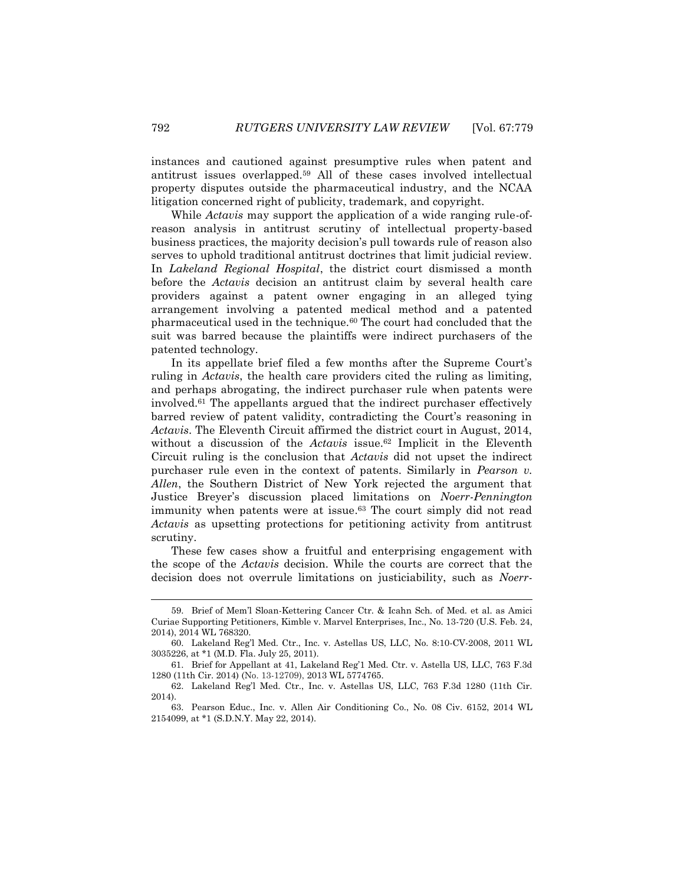instances and cautioned against presumptive rules when patent and antitrust issues overlapped.<sup>59</sup> All of these cases involved intellectual property disputes outside the pharmaceutical industry, and the NCAA litigation concerned right of publicity, trademark, and copyright.

While *Actavis* may support the application of a wide ranging rule-ofreason analysis in antitrust scrutiny of intellectual property-based business practices, the majority decision's pull towards rule of reason also serves to uphold traditional antitrust doctrines that limit judicial review. In *Lakeland Regional Hospital*, the district court dismissed a month before the *Actavis* decision an antitrust claim by several health care providers against a patent owner engaging in an alleged tying arrangement involving a patented medical method and a patented pharmaceutical used in the technique.<sup>60</sup> The court had concluded that the suit was barred because the plaintiffs were indirect purchasers of the patented technology.

In its appellate brief filed a few months after the Supreme Court's ruling in *Actavis*, the health care providers cited the ruling as limiting, and perhaps abrogating, the indirect purchaser rule when patents were involved.<sup>61</sup> The appellants argued that the indirect purchaser effectively barred review of patent validity, contradicting the Court's reasoning in *Actavis*. The Eleventh Circuit affirmed the district court in August, 2014, without a discussion of the *Actavis* issue.<sup>62</sup> Implicit in the Eleventh Circuit ruling is the conclusion that *Actavis* did not upset the indirect purchaser rule even in the context of patents. Similarly in *Pearson v. Allen*, the Southern District of New York rejected the argument that Justice Breyer's discussion placed limitations on *Noerr-Pennington* immunity when patents were at issue. <sup>63</sup> The court simply did not read *Actavis* as upsetting protections for petitioning activity from antitrust scrutiny.

These few cases show a fruitful and enterprising engagement with the scope of the *Actavis* decision. While the courts are correct that the decision does not overrule limitations on justiciability, such as *Noerr-*

<sup>59.</sup> Brief of Mem'l Sloan-Kettering Cancer Ctr. & Icahn Sch. of Med. et al. as Amici Curiae Supporting Petitioners, Kimble v. Marvel Enterprises, Inc., No. 13-720 (U.S. Feb. 24, 2014), 2014 WL 768320.

<sup>60.</sup> Lakeland Reg'l Med. Ctr., Inc. v. Astellas US, LLC, No. 8:10-CV-2008, 2011 WL 3035226, at \*1 (M.D. Fla. July 25, 2011).

<sup>61.</sup> Brief for Appellant at 41, Lakeland Reg'1 Med. Ctr. v. Astella US, LLC, 763 F.3d 1280 (11th Cir. 2014) (No. 13-12709), 2013 WL 5774765.

<sup>62.</sup> Lakeland Reg'l Med. Ctr., Inc. v. Astellas US, LLC, 763 F.3d 1280 (11th Cir. 2014).

<sup>63.</sup> Pearson Educ., Inc. v. Allen Air Conditioning Co., No. 08 Civ. 6152, 2014 WL 2154099, at \*1 (S.D.N.Y. May 22, 2014).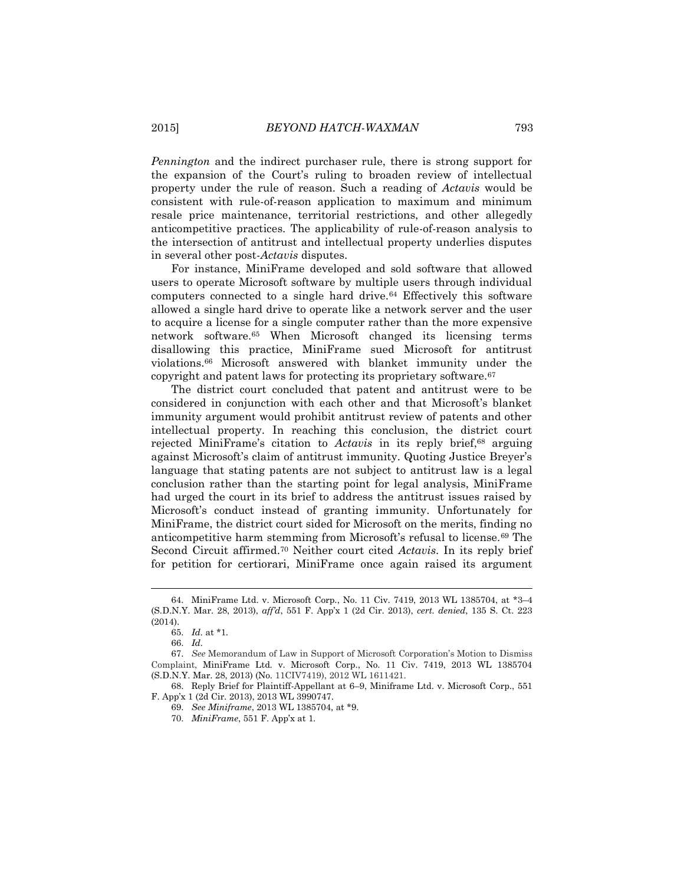*Pennington* and the indirect purchaser rule, there is strong support for the expansion of the Court's ruling to broaden review of intellectual property under the rule of reason. Such a reading of *Actavis* would be consistent with rule-of-reason application to maximum and minimum resale price maintenance, territorial restrictions, and other allegedly anticompetitive practices. The applicability of rule-of-reason analysis to the intersection of antitrust and intellectual property underlies disputes in several other post-*Actavis* disputes.

For instance, MiniFrame developed and sold software that allowed users to operate Microsoft software by multiple users through individual computers connected to a single hard drive.<sup>64</sup> Effectively this software allowed a single hard drive to operate like a network server and the user to acquire a license for a single computer rather than the more expensive network software.<sup>65</sup> When Microsoft changed its licensing terms disallowing this practice, MiniFrame sued Microsoft for antitrust violations.<sup>66</sup> Microsoft answered with blanket immunity under the copyright and patent laws for protecting its proprietary software.<sup>67</sup>

The district court concluded that patent and antitrust were to be considered in conjunction with each other and that Microsoft's blanket immunity argument would prohibit antitrust review of patents and other intellectual property. In reaching this conclusion, the district court rejected MiniFrame's citation to *Actavis* in its reply brief,<sup>68</sup> arguing against Microsoft's claim of antitrust immunity. Quoting Justice Breyer's language that stating patents are not subject to antitrust law is a legal conclusion rather than the starting point for legal analysis, MiniFrame had urged the court in its brief to address the antitrust issues raised by Microsoft's conduct instead of granting immunity. Unfortunately for MiniFrame, the district court sided for Microsoft on the merits, finding no anticompetitive harm stemming from Microsoft's refusal to license.<sup>69</sup> The Second Circuit affirmed.<sup>70</sup> Neither court cited *Actavis*. In its reply brief for petition for certiorari, MiniFrame once again raised its argument

 $\overline{a}$ 

<sup>64.</sup> MiniFrame Ltd. v. Microsoft Corp., No. 11 Civ. 7419, 2013 WL 1385704, at \*3–4 (S.D.N.Y. Mar. 28, 2013), *aff'd*, 551 F. App'x 1 (2d Cir. 2013), *cert. denied*, 135 S. Ct. 223 (2014).

<sup>65.</sup> *Id.* at \*1.

<sup>66.</sup> *Id.*

<sup>67.</sup> *See* Memorandum of Law in Support of Microsoft Corporation's Motion to Dismiss Complaint, MiniFrame Ltd. v. Microsoft Corp., No. 11 Civ. 7419, 2013 WL 1385704 (S.D.N.Y. Mar. 28, 2013) (No. 11CIV7419), 2012 WL 1611421.

<sup>68.</sup> Reply Brief for Plaintiff-Appellant at 6–9, Miniframe Ltd. v. Microsoft Corp., 551 F. App'x 1 (2d Cir. 2013), 2013 WL 3990747.

<sup>69.</sup> *See Miniframe*, 2013 WL 1385704, at \*9.

<sup>70.</sup> *MiniFrame*, 551 F. App'x at 1.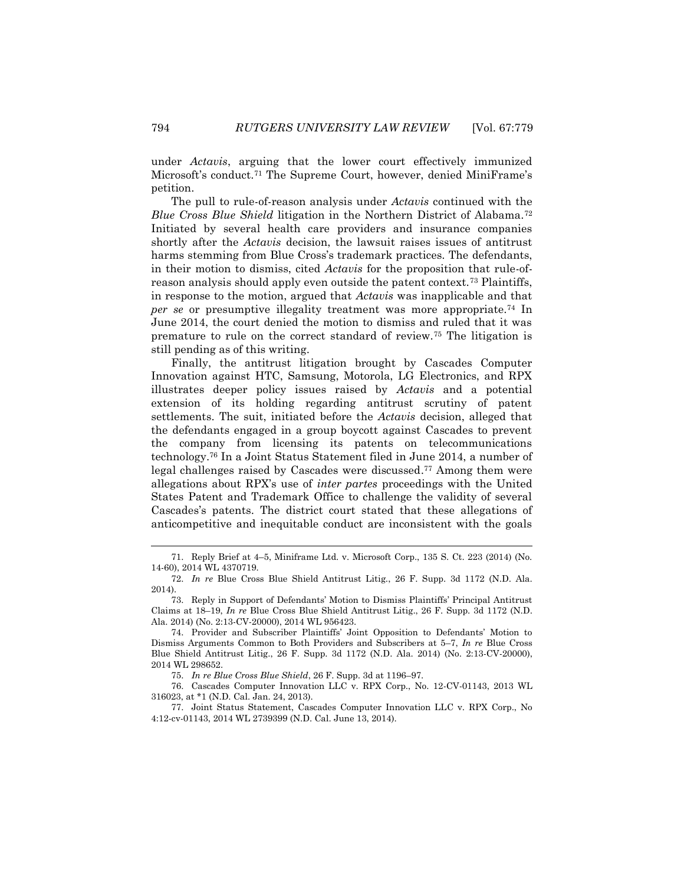under *Actavis*, arguing that the lower court effectively immunized Microsoft's conduct.<sup>71</sup> The Supreme Court, however, denied MiniFrame's petition.

The pull to rule-of-reason analysis under *Actavis* continued with the *Blue Cross Blue Shield* litigation in the Northern District of Alabama.<sup>72</sup> Initiated by several health care providers and insurance companies shortly after the *Actavis* decision, the lawsuit raises issues of antitrust harms stemming from Blue Cross's trademark practices. The defendants, in their motion to dismiss, cited *Actavis* for the proposition that rule-ofreason analysis should apply even outside the patent context.<sup>73</sup> Plaintiffs, in response to the motion, argued that *Actavis* was inapplicable and that *per se* or presumptive illegality treatment was more appropriate.<sup>74</sup> In June 2014, the court denied the motion to dismiss and ruled that it was premature to rule on the correct standard of review.<sup>75</sup> The litigation is still pending as of this writing.

Finally, the antitrust litigation brought by Cascades Computer Innovation against HTC, Samsung, Motorola, LG Electronics, and RPX illustrates deeper policy issues raised by *Actavis* and a potential extension of its holding regarding antitrust scrutiny of patent settlements. The suit, initiated before the *Actavis* decision, alleged that the defendants engaged in a group boycott against Cascades to prevent the company from licensing its patents on telecommunications technology.<sup>76</sup> In a Joint Status Statement filed in June 2014, a number of legal challenges raised by Cascades were discussed. <sup>77</sup> Among them were allegations about RPX's use of *inter partes* proceedings with the United States Patent and Trademark Office to challenge the validity of several Cascades's patents. The district court stated that these allegations of anticompetitive and inequitable conduct are inconsistent with the goals

<sup>71.</sup> Reply Brief at 4–5, Miniframe Ltd. v. Microsoft Corp., 135 S. Ct. 223 (2014) (No. 14-60), 2014 WL 4370719.

<sup>72.</sup> *In re* Blue Cross Blue Shield Antitrust Litig., 26 F. Supp. 3d 1172 (N.D. Ala. 2014).

<sup>73.</sup> Reply in Support of Defendants' Motion to Dismiss Plaintiffs' Principal Antitrust Claims at 18–19, *In re* Blue Cross Blue Shield Antitrust Litig., 26 F. Supp. 3d 1172 (N.D. Ala. 2014) (No. 2:13-CV-20000), 2014 WL 956423.

<sup>74.</sup> Provider and Subscriber Plaintiffs' Joint Opposition to Defendants' Motion to Dismiss Arguments Common to Both Providers and Subscribers at 5–7, *In re* Blue Cross Blue Shield Antitrust Litig., 26 F. Supp. 3d 1172 (N.D. Ala. 2014) (No. 2:13-CV-20000), 2014 WL 298652.

<sup>75.</sup> *In re Blue Cross Blue Shield*, 26 F. Supp. 3d at 1196–97.

<sup>76.</sup> Cascades Computer Innovation LLC v. RPX Corp., No. 12-CV-01143, 2013 WL 316023, at \*1 (N.D. Cal. Jan. 24, 2013).

<sup>77.</sup> Joint Status Statement, Cascades Computer Innovation LLC v. RPX Corp., No 4:12-cv-01143, 2014 WL 2739399 (N.D. Cal. June 13, 2014).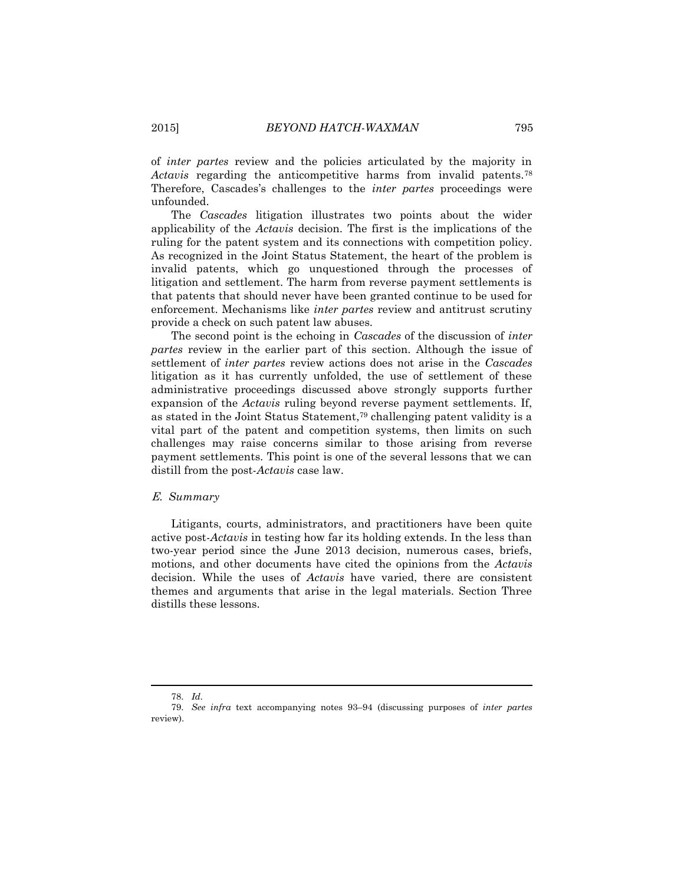of *inter partes* review and the policies articulated by the majority in *Actavis* regarding the anticompetitive harms from invalid patents.<sup>78</sup> Therefore, Cascades's challenges to the *inter partes* proceedings were unfounded.

The *Cascades* litigation illustrates two points about the wider applicability of the *Actavis* decision. The first is the implications of the ruling for the patent system and its connections with competition policy. As recognized in the Joint Status Statement, the heart of the problem is invalid patents, which go unquestioned through the processes of litigation and settlement. The harm from reverse payment settlements is that patents that should never have been granted continue to be used for enforcement. Mechanisms like *inter partes* review and antitrust scrutiny provide a check on such patent law abuses.

The second point is the echoing in *Cascades* of the discussion of *inter partes* review in the earlier part of this section. Although the issue of settlement of *inter partes* review actions does not arise in the *Cascades* litigation as it has currently unfolded, the use of settlement of these administrative proceedings discussed above strongly supports further expansion of the *Actavis* ruling beyond reverse payment settlements. If, as stated in the Joint Status Statement, <sup>79</sup> challenging patent validity is a vital part of the patent and competition systems, then limits on such challenges may raise concerns similar to those arising from reverse payment settlements. This point is one of the several lessons that we can distill from the post-*Actavis* case law.

#### E. *Summary*

Litigants, courts, administrators, and practitioners have been quite active post-*Actavis* in testing how far its holding extends. In the less than two-year period since the June 2013 decision, numerous cases, briefs, motions, and other documents have cited the opinions from the *Actavis* decision. While the uses of *Actavis* have varied, there are consistent themes and arguments that arise in the legal materials. Section Three distills these lessons.

<sup>78.</sup> *Id.*

<sup>79.</sup> *See infra* text accompanying notes 93–94 (discussing purposes of *inter partes* review).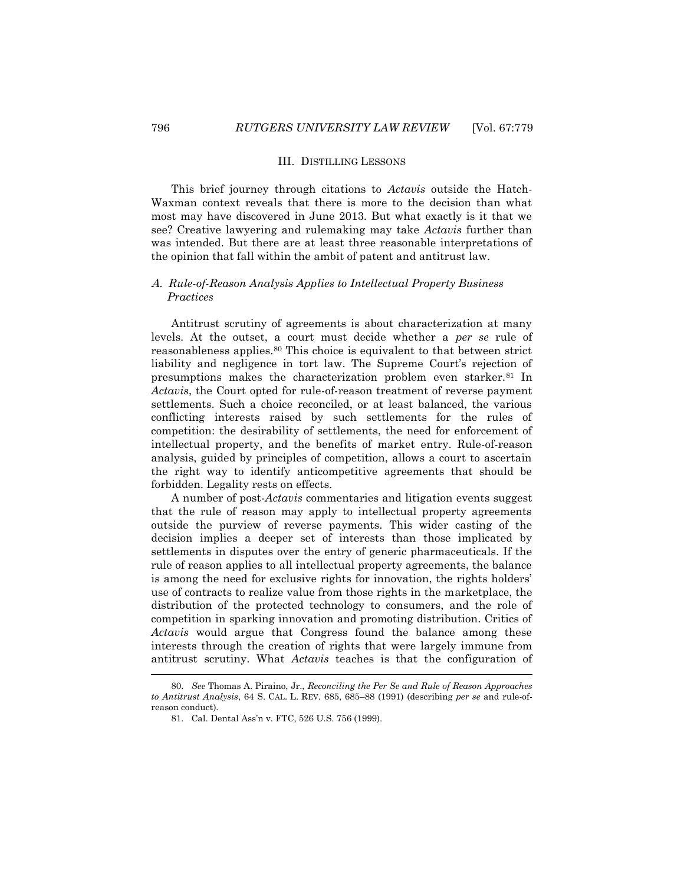#### III. DISTILLING LESSONS

This brief journey through citations to *Actavis* outside the Hatch-Waxman context reveals that there is more to the decision than what most may have discovered in June 2013. But what exactly is it that we see? Creative lawyering and rulemaking may take *Actavis* further than was intended. But there are at least three reasonable interpretations of the opinion that fall within the ambit of patent and antitrust law.

## A. *Rule-of-Reason Analysis Applies to Intellectual Property Business Practices*

Antitrust scrutiny of agreements is about characterization at many levels. At the outset, a court must decide whether a *per se* rule of reasonableness applies.<sup>80</sup> This choice is equivalent to that between strict liability and negligence in tort law. The Supreme Court's rejection of presumptions makes the characterization problem even starker.<sup>81</sup> In *Actavis*, the Court opted for rule-of-reason treatment of reverse payment settlements. Such a choice reconciled, or at least balanced, the various conflicting interests raised by such settlements for the rules of competition: the desirability of settlements, the need for enforcement of intellectual property, and the benefits of market entry. Rule-of-reason analysis, guided by principles of competition, allows a court to ascertain the right way to identify anticompetitive agreements that should be forbidden. Legality rests on effects.

A number of post-*Actavis* commentaries and litigation events suggest that the rule of reason may apply to intellectual property agreements outside the purview of reverse payments. This wider casting of the decision implies a deeper set of interests than those implicated by settlements in disputes over the entry of generic pharmaceuticals. If the rule of reason applies to all intellectual property agreements, the balance is among the need for exclusive rights for innovation, the rights holders' use of contracts to realize value from those rights in the marketplace, the distribution of the protected technology to consumers, and the role of competition in sparking innovation and promoting distribution. Critics of *Actavis* would argue that Congress found the balance among these interests through the creation of rights that were largely immune from antitrust scrutiny. What *Actavis* teaches is that the configuration of

<sup>80.</sup> *See* Thomas A. Piraino, Jr., *Reconciling the Per Se and Rule of Reason Approaches to Antitrust Analysis*, 64 S. CAL. L. REV. 685, 685–88 (1991) (describing *per se* and rule-ofreason conduct).

<sup>81.</sup> Cal. Dental Ass'n v. FTC, 526 U.S. 756 (1999).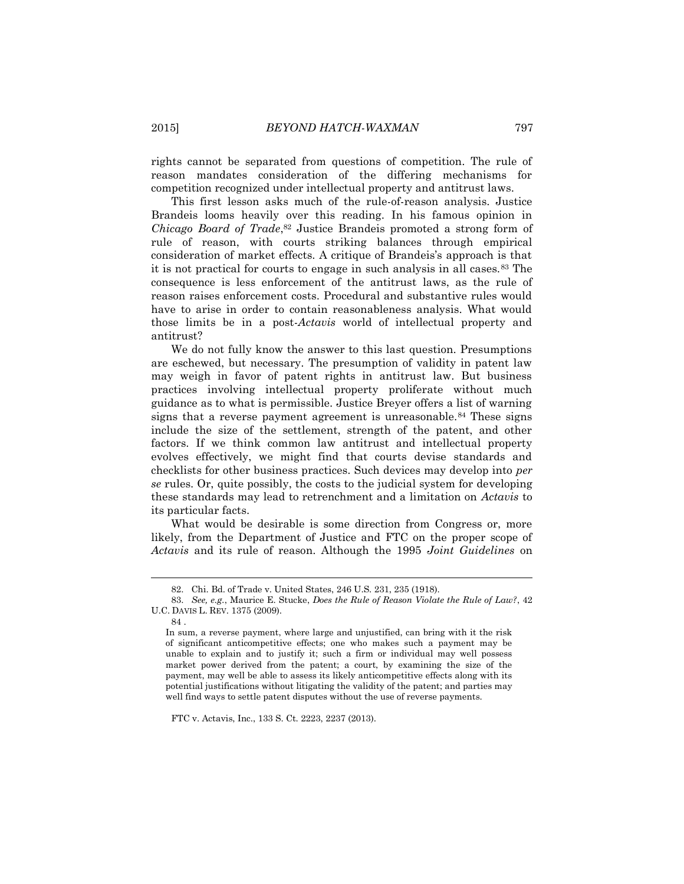rights cannot be separated from questions of competition. The rule of reason mandates consideration of the differing mechanisms for competition recognized under intellectual property and antitrust laws.

This first lesson asks much of the rule-of-reason analysis. Justice Brandeis looms heavily over this reading. In his famous opinion in *Chicago Board of Trade*, <sup>82</sup> Justice Brandeis promoted a strong form of rule of reason, with courts striking balances through empirical consideration of market effects. A critique of Brandeis's approach is that it is not practical for courts to engage in such analysis in all cases.<sup>83</sup> The consequence is less enforcement of the antitrust laws, as the rule of reason raises enforcement costs. Procedural and substantive rules would have to arise in order to contain reasonableness analysis. What would those limits be in a post-*Actavis* world of intellectual property and antitrust?

We do not fully know the answer to this last question. Presumptions are eschewed, but necessary. The presumption of validity in patent law may weigh in favor of patent rights in antitrust law. But business practices involving intellectual property proliferate without much guidance as to what is permissible. Justice Breyer offers a list of warning signs that a reverse payment agreement is unreasonable.<sup>84</sup> These signs include the size of the settlement, strength of the patent, and other factors. If we think common law antitrust and intellectual property evolves effectively, we might find that courts devise standards and checklists for other business practices. Such devices may develop into *per se* rules. Or, quite possibly, the costs to the judicial system for developing these standards may lead to retrenchment and a limitation on *Actavis* to its particular facts.

What would be desirable is some direction from Congress or, more likely, from the Department of Justice and FTC on the proper scope of *Actavis* and its rule of reason. Although the 1995 *Joint Guidelines* on

l

FTC v. Actavis, Inc., 133 S. Ct. 2223, 2237 (2013).

<sup>82.</sup> Chi. Bd. of Trade v. United States, 246 U.S. 231, 235 (1918).

<sup>83.</sup> *See, e.g.*, Maurice E. Stucke, *Does the Rule of Reason Violate the Rule of Law?*, 42 U.C. DAVIS L. REV. 1375 (2009).

<sup>84</sup> .

In sum, a reverse payment, where large and unjustified, can bring with it the risk of significant anticompetitive effects; one who makes such a payment may be unable to explain and to justify it; such a firm or individual may well possess market power derived from the patent; a court, by examining the size of the payment, may well be able to assess its likely anticompetitive effects along with its potential justifications without litigating the validity of the patent; and parties may well find ways to settle patent disputes without the use of reverse payments.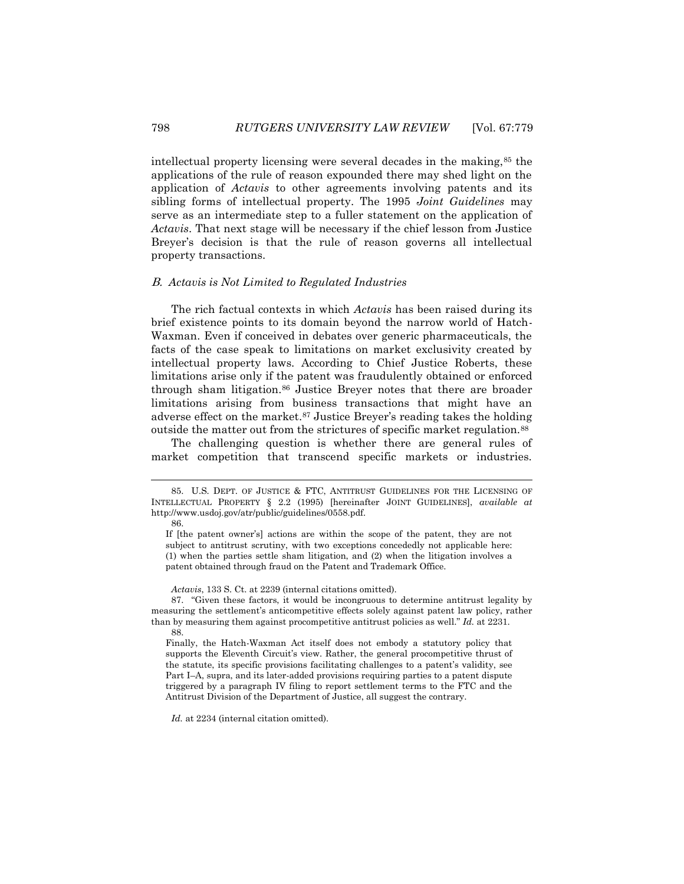intellectual property licensing were several decades in the making,<sup>85</sup> the applications of the rule of reason expounded there may shed light on the application of *Actavis* to other agreements involving patents and its sibling forms of intellectual property. The 1995 *Joint Guidelines* may serve as an intermediate step to a fuller statement on the application of *Actavis*. That next stage will be necessary if the chief lesson from Justice Breyer's decision is that the rule of reason governs all intellectual property transactions.

#### B. *Actavis is Not Limited to Regulated Industries*

The rich factual contexts in which *Actavis* has been raised during its brief existence points to its domain beyond the narrow world of Hatch-Waxman. Even if conceived in debates over generic pharmaceuticals, the facts of the case speak to limitations on market exclusivity created by intellectual property laws. According to Chief Justice Roberts, these limitations arise only if the patent was fraudulently obtained or enforced through sham litigation.<sup>86</sup> Justice Breyer notes that there are broader limitations arising from business transactions that might have an adverse effect on the market.<sup>87</sup> Justice Breyer's reading takes the holding outside the matter out from the strictures of specific market regulation.<sup>88</sup>

The challenging question is whether there are general rules of market competition that transcend specific markets or industries.

l

*Actavis*, 133 S. Ct. at 2239 (internal citations omitted).

87. "Given these factors, it would be incongruous to determine antitrust legality by measuring the settlement's anticompetitive effects solely against patent law policy, rather than by measuring them against procompetitive antitrust policies as well." *Id.* at 2231. 88.

Finally, the Hatch-Waxman Act itself does not embody a statutory policy that supports the Eleventh Circuit's view. Rather, the general procompetitive thrust of the statute, its specific provisions facilitating challenges to a patent's validity, see Part I–A, supra, and its later-added provisions requiring parties to a patent dispute triggered by a paragraph IV filing to report settlement terms to the FTC and the Antitrust Division of the Department of Justice, all suggest the contrary.

*Id.* at 2234 (internal citation omitted).

<sup>85.</sup> U.S. DEPT. OF JUSTICE & FTC, ANTITRUST GUIDELINES FOR THE LICENSING OF INTELLECTUAL PROPERTY § 2.2 (1995) [hereinafter JOINT GUIDELINES], *available at*  http://www.usdoj.gov/atr/public/guidelines/0558.pdf.

<sup>86.</sup>

If [the patent owner's] actions are within the scope of the patent, they are not subject to antitrust scrutiny, with two exceptions concededly not applicable here: (1) when the parties settle sham litigation, and (2) when the litigation involves a patent obtained through fraud on the Patent and Trademark Office.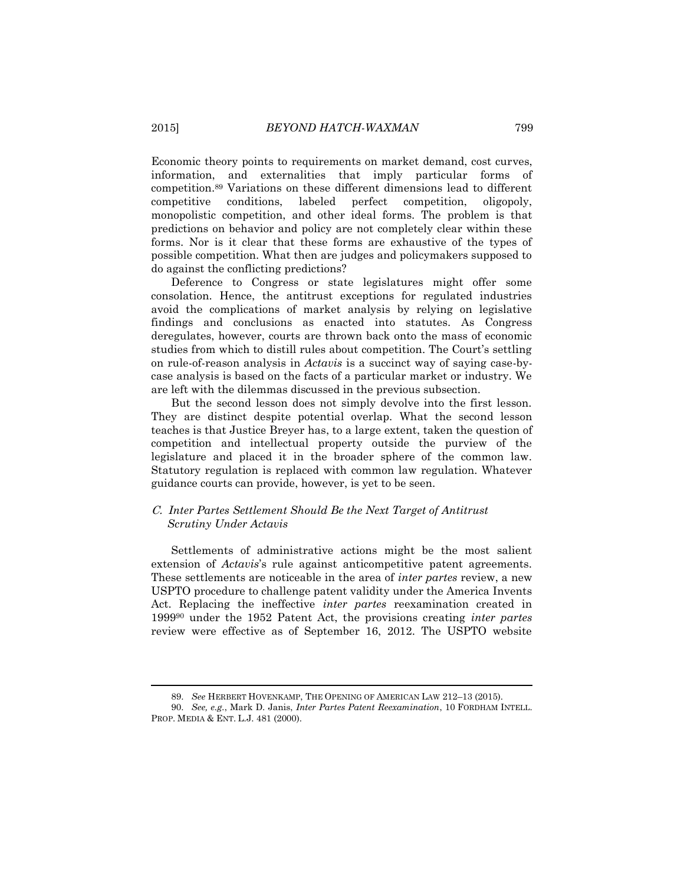Economic theory points to requirements on market demand, cost curves, information, and externalities that imply particular forms of competition.<sup>89</sup> Variations on these different dimensions lead to different competitive conditions, labeled perfect competition, oligopoly, monopolistic competition, and other ideal forms. The problem is that predictions on behavior and policy are not completely clear within these forms. Nor is it clear that these forms are exhaustive of the types of possible competition. What then are judges and policymakers supposed to do against the conflicting predictions?

Deference to Congress or state legislatures might offer some consolation. Hence, the antitrust exceptions for regulated industries avoid the complications of market analysis by relying on legislative findings and conclusions as enacted into statutes. As Congress deregulates, however, courts are thrown back onto the mass of economic studies from which to distill rules about competition. The Court's settling on rule-of-reason analysis in *Actavis* is a succinct way of saying case-bycase analysis is based on the facts of a particular market or industry. We are left with the dilemmas discussed in the previous subsection.

But the second lesson does not simply devolve into the first lesson. They are distinct despite potential overlap. What the second lesson teaches is that Justice Breyer has, to a large extent, taken the question of competition and intellectual property outside the purview of the legislature and placed it in the broader sphere of the common law. Statutory regulation is replaced with common law regulation. Whatever guidance courts can provide, however, is yet to be seen.

## C. *Inter Partes Settlement Should Be the Next Target of Antitrust Scrutiny Under Actavis*

Settlements of administrative actions might be the most salient extension of *Actavis*'s rule against anticompetitive patent agreements. These settlements are noticeable in the area of *inter partes* review, a new USPTO procedure to challenge patent validity under the America Invents Act. Replacing the ineffective *inter partes* reexamination created in 1999<sup>90</sup> under the 1952 Patent Act, the provisions creating *inter partes* review were effective as of September 16, 2012. The USPTO website

<sup>89.</sup> *See* HERBERT HOVENKAMP, THE OPENING OF AMERICAN LAW 212–13 (2015).

<sup>90.</sup> *See, e.g.*, Mark D. Janis, *Inter Partes Patent Reexamination*, 10 FORDHAM INTELL. PROP. MEDIA & ENT. L.J. 481 (2000).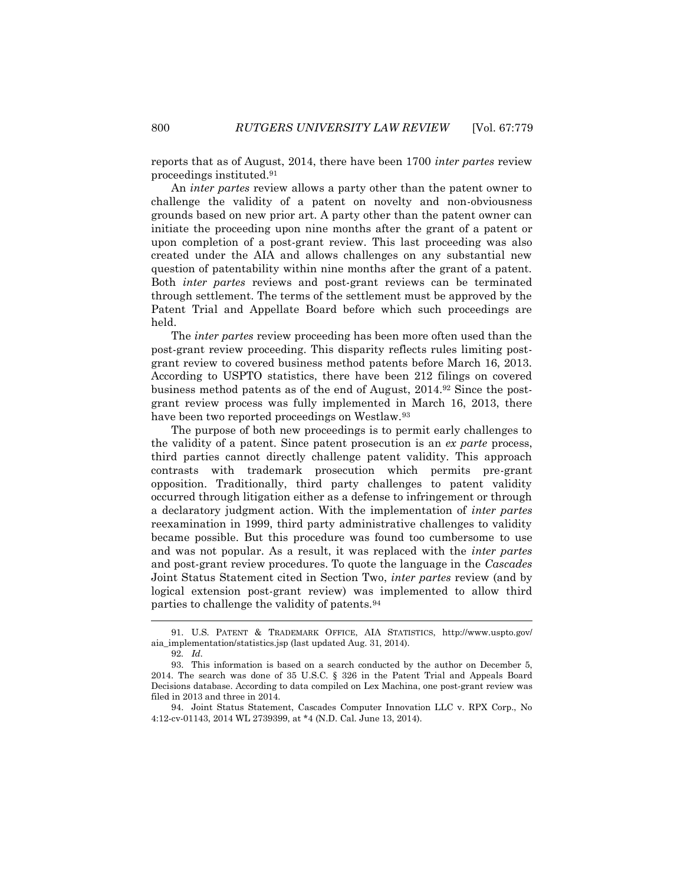reports that as of August, 2014, there have been 1700 *inter partes* review proceedings instituted.<sup>91</sup>

An *inter partes* review allows a party other than the patent owner to challenge the validity of a patent on novelty and non-obviousness grounds based on new prior art. A party other than the patent owner can initiate the proceeding upon nine months after the grant of a patent or upon completion of a post-grant review. This last proceeding was also created under the AIA and allows challenges on any substantial new question of patentability within nine months after the grant of a patent. Both *inter partes* reviews and post-grant reviews can be terminated through settlement. The terms of the settlement must be approved by the Patent Trial and Appellate Board before which such proceedings are held.

The *inter partes* review proceeding has been more often used than the post-grant review proceeding. This disparity reflects rules limiting postgrant review to covered business method patents before March 16, 2013. According to USPTO statistics, there have been 212 filings on covered business method patents as of the end of August, 2014.<sup>92</sup> Since the postgrant review process was fully implemented in March 16, 2013, there have been two reported proceedings on Westlaw.<sup>93</sup>

The purpose of both new proceedings is to permit early challenges to the validity of a patent. Since patent prosecution is an *ex parte* process, third parties cannot directly challenge patent validity. This approach contrasts with trademark prosecution which permits pre-grant opposition. Traditionally, third party challenges to patent validity occurred through litigation either as a defense to infringement or through a declaratory judgment action. With the implementation of *inter partes* reexamination in 1999, third party administrative challenges to validity became possible. But this procedure was found too cumbersome to use and was not popular. As a result, it was replaced with the *inter partes* and post-grant review procedures. To quote the language in the *Cascades* Joint Status Statement cited in Section Two, *inter partes* review (and by logical extension post-grant review) was implemented to allow third parties to challenge the validity of patents.<sup>94</sup>

<sup>91.</sup> U.S. PATENT & TRADEMARK OFFICE, AIA STATISTICS, http://www.uspto.gov/ aia\_implementation/statistics.jsp (last updated Aug. 31, 2014).

<sup>92</sup>*. Id.*

<sup>93.</sup> This information is based on a search conducted by the author on December 5, 2014. The search was done of 35 U.S.C. § 326 in the Patent Trial and Appeals Board Decisions database. According to data compiled on Lex Machina, one post-grant review was filed in 2013 and three in 2014.

<sup>94.</sup> Joint Status Statement, Cascades Computer Innovation LLC v. RPX Corp., No 4:12-cv-01143, 2014 WL 2739399, at \*4 (N.D. Cal. June 13, 2014).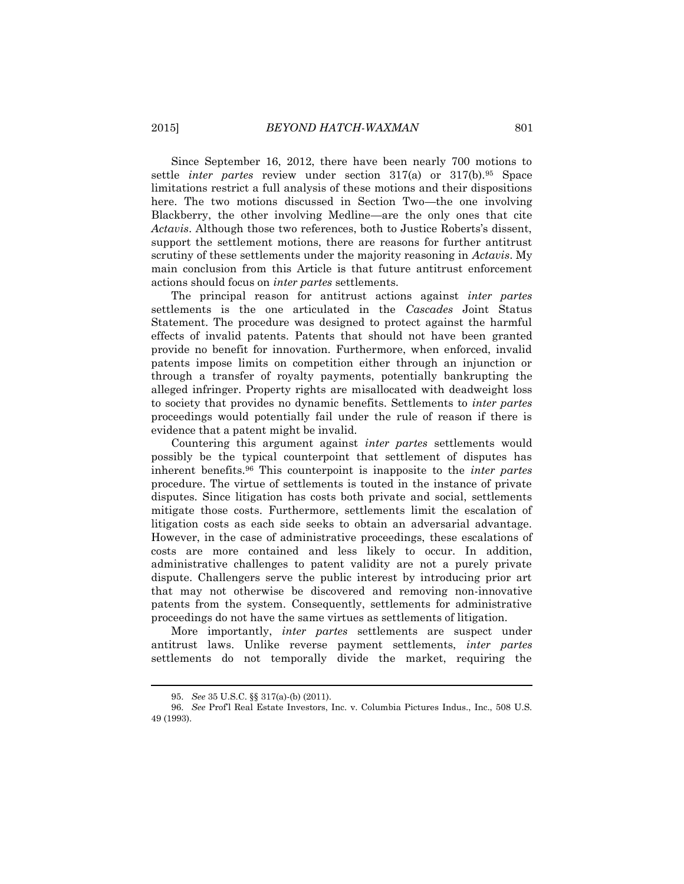Since September 16, 2012, there have been nearly 700 motions to settle *inter partes* review under section 317(a) or 317(b).<sup>95</sup> Space limitations restrict a full analysis of these motions and their dispositions here. The two motions discussed in Section Two—the one involving Blackberry, the other involving Medline—are the only ones that cite *Actavis*. Although those two references, both to Justice Roberts's dissent, support the settlement motions, there are reasons for further antitrust scrutiny of these settlements under the majority reasoning in *Actavis*. My main conclusion from this Article is that future antitrust enforcement actions should focus on *inter partes* settlements.

The principal reason for antitrust actions against *inter partes* settlements is the one articulated in the *Cascades* Joint Status Statement. The procedure was designed to protect against the harmful effects of invalid patents. Patents that should not have been granted provide no benefit for innovation. Furthermore, when enforced, invalid patents impose limits on competition either through an injunction or through a transfer of royalty payments, potentially bankrupting the alleged infringer. Property rights are misallocated with deadweight loss to society that provides no dynamic benefits. Settlements to *inter partes* proceedings would potentially fail under the rule of reason if there is evidence that a patent might be invalid.

Countering this argument against *inter partes* settlements would possibly be the typical counterpoint that settlement of disputes has inherent benefits.<sup>96</sup> This counterpoint is inapposite to the *inter partes* procedure. The virtue of settlements is touted in the instance of private disputes. Since litigation has costs both private and social, settlements mitigate those costs. Furthermore, settlements limit the escalation of litigation costs as each side seeks to obtain an adversarial advantage. However, in the case of administrative proceedings, these escalations of costs are more contained and less likely to occur. In addition, administrative challenges to patent validity are not a purely private dispute. Challengers serve the public interest by introducing prior art that may not otherwise be discovered and removing non-innovative patents from the system. Consequently, settlements for administrative proceedings do not have the same virtues as settlements of litigation.

More importantly, *inter partes* settlements are suspect under antitrust laws. Unlike reverse payment settlements, *inter partes* settlements do not temporally divide the market, requiring the

<sup>95.</sup> *See* 35 U.S.C. §§ 317(a)-(b) (2011).

<sup>96.</sup> *See* Prof'l Real Estate Investors, Inc. v. Columbia Pictures Indus., Inc., 508 U.S. 49 (1993).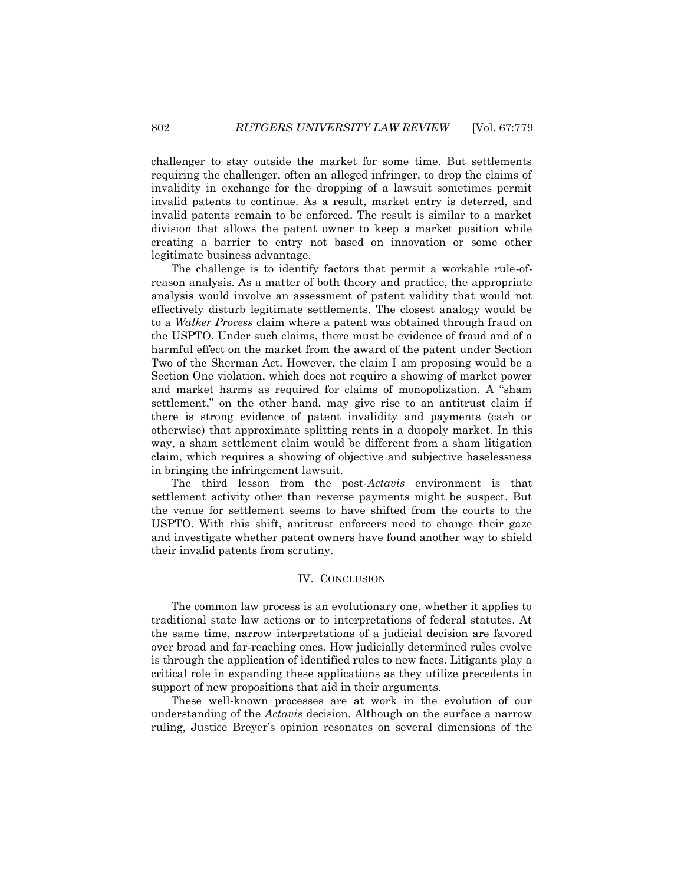challenger to stay outside the market for some time. But settlements requiring the challenger, often an alleged infringer, to drop the claims of invalidity in exchange for the dropping of a lawsuit sometimes permit invalid patents to continue. As a result, market entry is deterred, and invalid patents remain to be enforced. The result is similar to a market division that allows the patent owner to keep a market position while creating a barrier to entry not based on innovation or some other legitimate business advantage.

The challenge is to identify factors that permit a workable rule-ofreason analysis. As a matter of both theory and practice, the appropriate analysis would involve an assessment of patent validity that would not effectively disturb legitimate settlements. The closest analogy would be to a *Walker Process* claim where a patent was obtained through fraud on the USPTO. Under such claims, there must be evidence of fraud and of a harmful effect on the market from the award of the patent under Section Two of the Sherman Act. However, the claim I am proposing would be a Section One violation, which does not require a showing of market power and market harms as required for claims of monopolization. A "sham settlement," on the other hand, may give rise to an antitrust claim if there is strong evidence of patent invalidity and payments (cash or otherwise) that approximate splitting rents in a duopoly market. In this way, a sham settlement claim would be different from a sham litigation claim, which requires a showing of objective and subjective baselessness in bringing the infringement lawsuit.

The third lesson from the post-*Actavis* environment is that settlement activity other than reverse payments might be suspect. But the venue for settlement seems to have shifted from the courts to the USPTO. With this shift, antitrust enforcers need to change their gaze and investigate whether patent owners have found another way to shield their invalid patents from scrutiny.

## IV. CONCLUSION

The common law process is an evolutionary one, whether it applies to traditional state law actions or to interpretations of federal statutes. At the same time, narrow interpretations of a judicial decision are favored over broad and far-reaching ones. How judicially determined rules evolve is through the application of identified rules to new facts. Litigants play a critical role in expanding these applications as they utilize precedents in support of new propositions that aid in their arguments.

These well-known processes are at work in the evolution of our understanding of the *Actavis* decision. Although on the surface a narrow ruling, Justice Breyer's opinion resonates on several dimensions of the